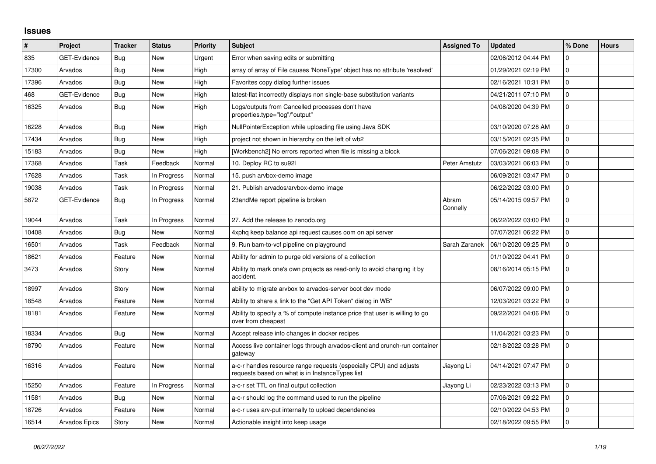## **Issues**

| $\vert$ # | Project             | <b>Tracker</b> | <b>Status</b> | <b>Priority</b> | <b>Subject</b>                                                                                                         | <b>Assigned To</b> | <b>Updated</b>      | % Done       | <b>Hours</b> |
|-----------|---------------------|----------------|---------------|-----------------|------------------------------------------------------------------------------------------------------------------------|--------------------|---------------------|--------------|--------------|
| 835       | GET-Evidence        | Bug            | <b>New</b>    | Urgent          | Error when saving edits or submitting                                                                                  |                    | 02/06/2012 04:44 PM | $\Omega$     |              |
| 17300     | Arvados             | <b>Bug</b>     | <b>New</b>    | High            | array of array of File causes 'NoneType' object has no attribute 'resolved'                                            |                    | 01/29/2021 02:19 PM | $\mathbf 0$  |              |
| 17396     | Arvados             | <b>Bug</b>     | <b>New</b>    | High            | Favorites copy dialog further issues                                                                                   |                    | 02/16/2021 10:31 PM | $\pmb{0}$    |              |
| 468       | <b>GET-Evidence</b> | <b>Bug</b>     | <b>New</b>    | High            | latest-flat incorrectly displays non single-base substitution variants                                                 |                    | 04/21/2011 07:10 PM | $\Omega$     |              |
| 16325     | Arvados             | Bug            | <b>New</b>    | High            | Logs/outputs from Cancelled processes don't have<br>properties.type="log"/"output"                                     |                    | 04/08/2020 04:39 PM | $\mathbf 0$  |              |
| 16228     | Arvados             | Bug            | <b>New</b>    | High            | NullPointerException while uploading file using Java SDK                                                               |                    | 03/10/2020 07:28 AM | $\mathbf 0$  |              |
| 17434     | Arvados             | <b>Bug</b>     | <b>New</b>    | High            | project not shown in hierarchy on the left of wb2                                                                      |                    | 03/15/2021 02:35 PM | $\mathbf{0}$ |              |
| 15183     | Arvados             | <b>Bug</b>     | <b>New</b>    | High            | [Workbench2] No errors reported when file is missing a block                                                           |                    | 07/06/2021 09:08 PM | $\mathbf 0$  |              |
| 17368     | Arvados             | Task           | Feedback      | Normal          | 10. Deploy RC to su92l                                                                                                 | Peter Amstutz      | 03/03/2021 06:03 PM | 0            |              |
| 17628     | Arvados             | Task           | In Progress   | Normal          | 15. push arvbox-demo image                                                                                             |                    | 06/09/2021 03:47 PM | 0            |              |
| 19038     | Arvados             | Task           | In Progress   | Normal          | 21. Publish arvados/arvbox-demo image                                                                                  |                    | 06/22/2022 03:00 PM | $\pmb{0}$    |              |
| 5872      | GET-Evidence        | <b>Bug</b>     | In Progress   | Normal          | 23andMe report pipeline is broken                                                                                      | Abram<br>Connelly  | 05/14/2015 09:57 PM | $\mathbf 0$  |              |
| 19044     | Arvados             | Task           | In Progress   | Normal          | 27. Add the release to zenodo.org                                                                                      |                    | 06/22/2022 03:00 PM | $\mathbf 0$  |              |
| 10408     | Arvados             | <b>Bug</b>     | <b>New</b>    | Normal          | 4xphq keep balance api request causes oom on api server                                                                |                    | 07/07/2021 06:22 PM | 0            |              |
| 16501     | Arvados             | Task           | Feedback      | Normal          | 9. Run bam-to-vcf pipeline on playground                                                                               | Sarah Zaranek      | 06/10/2020 09:25 PM | $\mathbf 0$  |              |
| 18621     | Arvados             | Feature        | <b>New</b>    | Normal          | Ability for admin to purge old versions of a collection                                                                |                    | 01/10/2022 04:41 PM | $\mathbf 0$  |              |
| 3473      | Arvados             | Story          | <b>New</b>    | Normal          | Ability to mark one's own projects as read-only to avoid changing it by<br>accident.                                   |                    | 08/16/2014 05:15 PM | $\mathbf 0$  |              |
| 18997     | Arvados             | Story          | New           | Normal          | ability to migrate arvbox to arvados-server boot dev mode                                                              |                    | 06/07/2022 09:00 PM | $\mathbf 0$  |              |
| 18548     | Arvados             | Feature        | <b>New</b>    | Normal          | Ability to share a link to the "Get API Token" dialog in WB"                                                           |                    | 12/03/2021 03:22 PM | $\pmb{0}$    |              |
| 18181     | Arvados             | Feature        | <b>New</b>    | Normal          | Ability to specify a % of compute instance price that user is willing to go<br>over from cheapest                      |                    | 09/22/2021 04:06 PM | $\mathbf 0$  |              |
| 18334     | Arvados             | <b>Bug</b>     | New           | Normal          | Accept release info changes in docker recipes                                                                          |                    | 11/04/2021 03:23 PM | $\mathbf 0$  |              |
| 18790     | Arvados             | Feature        | New           | Normal          | Access live container logs through arvados-client and crunch-run container<br>gateway                                  |                    | 02/18/2022 03:28 PM | $\mathbf 0$  |              |
| 16316     | Arvados             | Feature        | <b>New</b>    | Normal          | a-c-r handles resource range requests (especially CPU) and adjusts<br>requests based on what is in Instance Types list | Jiayong Li         | 04/14/2021 07:47 PM | $\mathbf 0$  |              |
| 15250     | Arvados             | Feature        | In Progress   | Normal          | a-c-r set TTL on final output collection                                                                               | Jiayong Li         | 02/23/2022 03:13 PM | $\mathbf 0$  |              |
| 11581     | Arvados             | Bug            | New           | Normal          | a-c-r should log the command used to run the pipeline                                                                  |                    | 07/06/2021 09:22 PM | 0            |              |
| 18726     | Arvados             | Feature        | <b>New</b>    | Normal          | a-c-r uses arv-put internally to upload dependencies                                                                   |                    | 02/10/2022 04:53 PM | 0            |              |
| 16514     | Arvados Epics       | Story          | <b>New</b>    | Normal          | Actionable insight into keep usage                                                                                     |                    | 02/18/2022 09:55 PM | $\pmb{0}$    |              |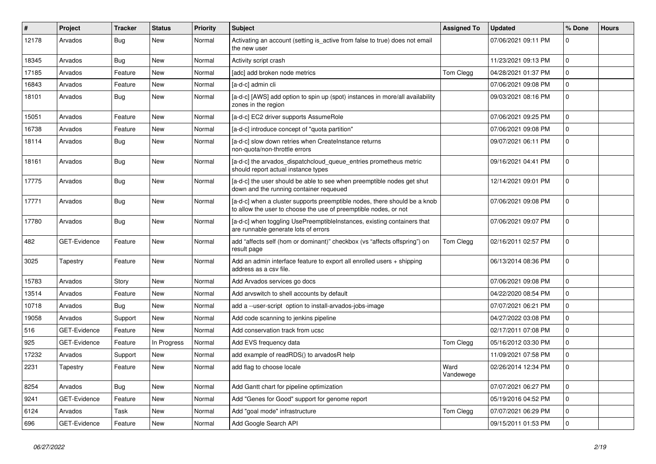| $\sharp$ | Project             | Tracker    | <b>Status</b> | <b>Priority</b> | <b>Subject</b>                                                                                                                                | <b>Assigned To</b> | <b>Updated</b>      | % Done      | <b>Hours</b> |
|----------|---------------------|------------|---------------|-----------------|-----------------------------------------------------------------------------------------------------------------------------------------------|--------------------|---------------------|-------------|--------------|
| 12178    | Arvados             | <b>Bug</b> | New           | Normal          | Activating an account (setting is_active from false to true) does not email<br>the new user                                                   |                    | 07/06/2021 09:11 PM | $\Omega$    |              |
| 18345    | Arvados             | <b>Bug</b> | New           | Normal          | Activity script crash                                                                                                                         |                    | 11/23/2021 09:13 PM | $\mathbf 0$ |              |
| 17185    | Arvados             | Feature    | New           | Normal          | [adc] add broken node metrics                                                                                                                 | Tom Clegg          | 04/28/2021 01:37 PM | $\mathbf 0$ |              |
| 16843    | Arvados             | Feature    | New           | Normal          | [a-d-c] admin cli                                                                                                                             |                    | 07/06/2021 09:08 PM | $\mathbf 0$ |              |
| 18101    | Arvados             | <b>Bug</b> | New           | Normal          | [a-d-c] [AWS] add option to spin up (spot) instances in more/all availability<br>zones in the region                                          |                    | 09/03/2021 08:16 PM | $\mathbf 0$ |              |
| 15051    | Arvados             | Feature    | New           | Normal          | [a-d-c] EC2 driver supports AssumeRole                                                                                                        |                    | 07/06/2021 09:25 PM | $\mathbf 0$ |              |
| 16738    | Arvados             | Feature    | New           | Normal          | [a-d-c] introduce concept of "quota partition"                                                                                                |                    | 07/06/2021 09:08 PM | $\Omega$    |              |
| 18114    | Arvados             | <b>Bug</b> | New           | Normal          | [a-d-c] slow down retries when CreateInstance returns<br>non-quota/non-throttle errors                                                        |                    | 09/07/2021 06:11 PM | $\mathbf 0$ |              |
| 18161    | Arvados             | <b>Bug</b> | New           | Normal          | [a-d-c] the arvados_dispatchcloud_queue_entries prometheus metric<br>should report actual instance types                                      |                    | 09/16/2021 04:41 PM | $\mathbf 0$ |              |
| 17775    | Arvados             | <b>Bug</b> | <b>New</b>    | Normal          | [a-d-c] the user should be able to see when preemptible nodes get shut<br>down and the running container requeued                             |                    | 12/14/2021 09:01 PM | $\mathbf 0$ |              |
| 17771    | Arvados             | <b>Bug</b> | <b>New</b>    | Normal          | [a-d-c] when a cluster supports preemptible nodes, there should be a knob<br>to allow the user to choose the use of preemptible nodes, or not |                    | 07/06/2021 09:08 PM | $\mathbf 0$ |              |
| 17780    | Arvados             | <b>Bug</b> | <b>New</b>    | Normal          | [a-d-c] when toggling UsePreemptibleInstances, existing containers that<br>are runnable generate lots of errors                               |                    | 07/06/2021 09:07 PM | $\Omega$    |              |
| 482      | GET-Evidence        | Feature    | New           | Normal          | add "affects self (hom or dominant)" checkbox (vs "affects offspring") on<br>result page                                                      | Tom Clegg          | 02/16/2011 02:57 PM | $\Omega$    |              |
| 3025     | Tapestry            | Feature    | New           | Normal          | Add an admin interface feature to export all enrolled users + shipping<br>address as a csv file.                                              |                    | 06/13/2014 08:36 PM | $\mathbf 0$ |              |
| 15783    | Arvados             | Story      | <b>New</b>    | Normal          | Add Arvados services go docs                                                                                                                  |                    | 07/06/2021 09:08 PM | $\mathbf 0$ |              |
| 13514    | Arvados             | Feature    | New           | Normal          | Add arvswitch to shell accounts by default                                                                                                    |                    | 04/22/2020 08:54 PM | $\mathbf 0$ |              |
| 10718    | Arvados             | Bug        | New           | Normal          | add a --user-script option to install-arvados-jobs-image                                                                                      |                    | 07/07/2021 06:21 PM | $\mathbf 0$ |              |
| 19058    | Arvados             | Support    | New           | Normal          | Add code scanning to jenkins pipeline                                                                                                         |                    | 04/27/2022 03:08 PM | $\mathbf 0$ |              |
| 516      | GET-Evidence        | Feature    | New           | Normal          | Add conservation track from ucsc                                                                                                              |                    | 02/17/2011 07:08 PM | $\Omega$    |              |
| 925      | <b>GET-Evidence</b> | Feature    | In Progress   | Normal          | Add EVS frequency data                                                                                                                        | Tom Clegg          | 05/16/2012 03:30 PM | $\mathbf 0$ |              |
| 17232    | Arvados             | Support    | New           | Normal          | add example of readRDS() to arvadosR help                                                                                                     |                    | 11/09/2021 07:58 PM | $\mathbf 0$ |              |
| 2231     | Tapestry            | Feature    | New           | Normal          | add flag to choose locale                                                                                                                     | Ward<br>Vandewege  | 02/26/2014 12:34 PM | $\mathbf 0$ |              |
| 8254     | Arvados             | <b>Bug</b> | New           | Normal          | Add Gantt chart for pipeline optimization                                                                                                     |                    | 07/07/2021 06:27 PM | $\mathbf 0$ |              |
| 9241     | GET-Evidence        | Feature    | New           | Normal          | Add "Genes for Good" support for genome report                                                                                                |                    | 05/19/2016 04:52 PM | $\pmb{0}$   |              |
| 6124     | Arvados             | Task       | New           | Normal          | Add "goal mode" infrastructure                                                                                                                | Tom Clegg          | 07/07/2021 06:29 PM | 0           |              |
| 696      | GET-Evidence        | Feature    | New           | Normal          | Add Google Search API                                                                                                                         |                    | 09/15/2011 01:53 PM | $\mathbf 0$ |              |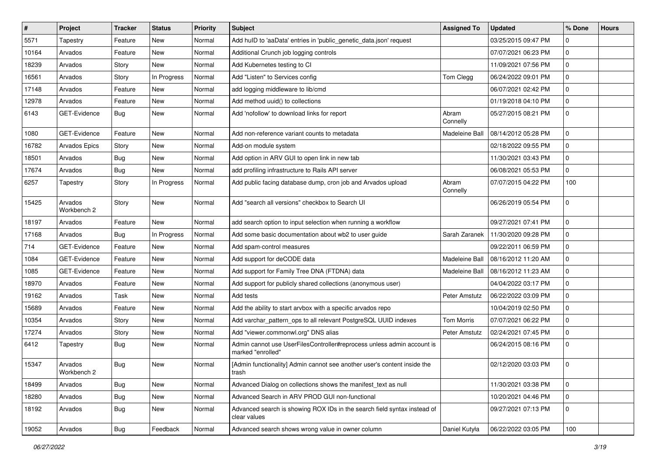| $\vert$ # | Project                | <b>Tracker</b> | <b>Status</b> | <b>Priority</b> | <b>Subject</b>                                                                              | <b>Assigned To</b> | Updated             | % Done      | <b>Hours</b> |
|-----------|------------------------|----------------|---------------|-----------------|---------------------------------------------------------------------------------------------|--------------------|---------------------|-------------|--------------|
| 5571      | Tapestry               | Feature        | New           | Normal          | Add hulD to 'aaData' entries in 'public_genetic_data.json' request                          |                    | 03/25/2015 09:47 PM | $\Omega$    |              |
| 10164     | Arvados                | Feature        | <b>New</b>    | Normal          | Additional Crunch job logging controls                                                      |                    | 07/07/2021 06:23 PM | $\mathbf 0$ |              |
| 18239     | Arvados                | Story          | New           | Normal          | Add Kubernetes testing to CI                                                                |                    | 11/09/2021 07:56 PM | 0           |              |
| 16561     | Arvados                | Story          | In Progress   | Normal          | Add "Listen" to Services config                                                             | Tom Clegg          | 06/24/2022 09:01 PM | 0           |              |
| 17148     | Arvados                | Feature        | New           | Normal          | add logging middleware to lib/cmd                                                           |                    | 06/07/2021 02:42 PM | 0           |              |
| 12978     | Arvados                | Feature        | New           | Normal          | Add method uuid() to collections                                                            |                    | 01/19/2018 04:10 PM | $\mathbf 0$ |              |
| 6143      | GET-Evidence           | Bug            | New           | Normal          | Add 'nofollow' to download links for report                                                 | Abram<br>Connelly  | 05/27/2015 08:21 PM | 0           |              |
| 1080      | GET-Evidence           | Feature        | New           | Normal          | Add non-reference variant counts to metadata                                                | Madeleine Ball     | 08/14/2012 05:28 PM | $\mathbf 0$ |              |
| 16782     | <b>Arvados Epics</b>   | Story          | New           | Normal          | Add-on module system                                                                        |                    | 02/18/2022 09:55 PM | 0           |              |
| 18501     | Arvados                | <b>Bug</b>     | New           | Normal          | Add option in ARV GUI to open link in new tab                                               |                    | 11/30/2021 03:43 PM | 0           |              |
| 17674     | Arvados                | Bug            | New           | Normal          | add profiling infrastructure to Rails API server                                            |                    | 06/08/2021 05:53 PM | $\mathbf 0$ |              |
| 6257      | Tapestry               | Story          | In Progress   | Normal          | Add public facing database dump, cron job and Arvados upload                                | Abram<br>Connelly  | 07/07/2015 04:22 PM | 100         |              |
| 15425     | Arvados<br>Workbench 2 | Story          | New           | Normal          | Add "search all versions" checkbox to Search UI                                             |                    | 06/26/2019 05:54 PM | $\mathbf 0$ |              |
| 18197     | Arvados                | Feature        | New           | Normal          | add search option to input selection when running a workflow                                |                    | 09/27/2021 07:41 PM | $\mathbf 0$ |              |
| 17168     | Arvados                | Bug            | In Progress   | Normal          | Add some basic documentation about wb2 to user guide                                        | Sarah Zaranek      | 11/30/2020 09:28 PM | 0           |              |
| 714       | GET-Evidence           | Feature        | New           | Normal          | Add spam-control measures                                                                   |                    | 09/22/2011 06:59 PM | 0           |              |
| 1084      | GET-Evidence           | Feature        | New           | Normal          | Add support for deCODE data                                                                 | Madeleine Ball     | 08/16/2012 11:20 AM | 0           |              |
| 1085      | GET-Evidence           | Feature        | New           | Normal          | Add support for Family Tree DNA (FTDNA) data                                                | Madeleine Ball     | 08/16/2012 11:23 AM | 0           |              |
| 18970     | Arvados                | Feature        | New           | Normal          | Add support for publicly shared collections (anonymous user)                                |                    | 04/04/2022 03:17 PM | $\mathbf 0$ |              |
| 19162     | Arvados                | Task           | New           | Normal          | Add tests                                                                                   | Peter Amstutz      | 06/22/2022 03:09 PM | 0           |              |
| 15689     | Arvados                | Feature        | New           | Normal          | Add the ability to start arvbox with a specific arvados repo                                |                    | 10/04/2019 02:50 PM | 0           |              |
| 10354     | Arvados                | Story          | New           | Normal          | Add varchar_pattern_ops to all relevant PostgreSQL UUID indexes                             | Tom Morris         | 07/07/2021 06:22 PM | $\mathbf 0$ |              |
| 17274     | Arvados                | Story          | New           | Normal          | Add "viewer.commonwl.org" DNS alias                                                         | Peter Amstutz      | 02/24/2021 07:45 PM | 0           |              |
| 6412      | Tapestry               | Bug            | New           | Normal          | Admin cannot use UserFilesController#reprocess unless admin account is<br>marked "enrolled" |                    | 06/24/2015 08:16 PM | $\mathbf 0$ |              |
| 15347     | Arvados<br>Workbench 2 | Bug            | <b>New</b>    | Normal          | [Admin functionality] Admin cannot see another user's content inside the<br>trash           |                    | 02/12/2020 03:03 PM | 0           |              |
| 18499     | Arvados                | Bug            | New           | Normal          | Advanced Dialog on collections shows the manifest_text as null                              |                    | 11/30/2021 03:38 PM | $\mathbf 0$ |              |
| 18280     | Arvados                | <b>Bug</b>     | New           | Normal          | Advanced Search in ARV PROD GUI non-functional                                              |                    | 10/20/2021 04:46 PM | 0           |              |
| 18192     | Arvados                | Bug            | New           | Normal          | Advanced search is showing ROX IDs in the search field syntax instead of<br>clear values    |                    | 09/27/2021 07:13 PM | 0           |              |
| 19052     | Arvados                | <b>Bug</b>     | Feedback      | Normal          | Advanced search shows wrong value in owner column                                           | Daniel Kutyła      | 06/22/2022 03:05 PM | 100         |              |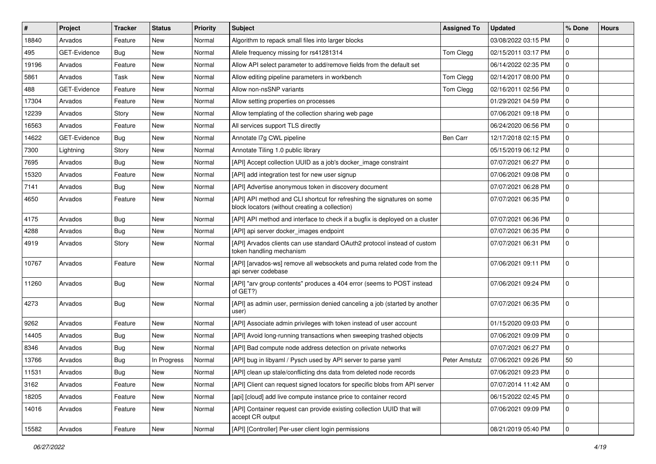| ∦     | Project      | <b>Tracker</b> | <b>Status</b> | <b>Priority</b> | <b>Subject</b>                                                                                                            | <b>Assigned To</b> | <b>Updated</b>      | % Done      | <b>Hours</b> |
|-------|--------------|----------------|---------------|-----------------|---------------------------------------------------------------------------------------------------------------------------|--------------------|---------------------|-------------|--------------|
| 18840 | Arvados      | Feature        | New           | Normal          | Algorithm to repack small files into larger blocks                                                                        |                    | 03/08/2022 03:15 PM | $\Omega$    |              |
| 495   | GET-Evidence | Bug            | <b>New</b>    | Normal          | Allele frequency missing for rs41281314                                                                                   | Tom Clegg          | 02/15/2011 03:17 PM | $\mathbf 0$ |              |
| 19196 | Arvados      | Feature        | New           | Normal          | Allow API select parameter to add/remove fields from the default set                                                      |                    | 06/14/2022 02:35 PM | $\mathbf 0$ |              |
| 5861  | Arvados      | Task           | New           | Normal          | Allow editing pipeline parameters in workbench                                                                            | Tom Clegg          | 02/14/2017 08:00 PM | $\mathbf 0$ |              |
| 488   | GET-Evidence | Feature        | New           | Normal          | Allow non-nsSNP variants                                                                                                  | Tom Clegg          | 02/16/2011 02:56 PM | $\mathbf 0$ |              |
| 17304 | Arvados      | Feature        | New           | Normal          | Allow setting properties on processes                                                                                     |                    | 01/29/2021 04:59 PM | $\Omega$    |              |
| 12239 | Arvados      | Story          | New           | Normal          | Allow templating of the collection sharing web page                                                                       |                    | 07/06/2021 09:18 PM | $\mathbf 0$ |              |
| 16563 | Arvados      | Feature        | New           | Normal          | All services support TLS directly                                                                                         |                    | 06/24/2020 06:56 PM | $\mathbf 0$ |              |
| 14622 | GET-Evidence | Bug            | New           | Normal          | Annotate I7g CWL pipeline                                                                                                 | Ben Carr           | 12/17/2018 02:15 PM | $\mathbf 0$ |              |
| 7300  | Lightning    | Story          | <b>New</b>    | Normal          | Annotate Tiling 1.0 public library                                                                                        |                    | 05/15/2019 06:12 PM | $\mathbf 0$ |              |
| 7695  | Arvados      | <b>Bug</b>     | New           | Normal          | [API] Accept collection UUID as a job's docker image constraint                                                           |                    | 07/07/2021 06:27 PM | $\mathbf 0$ |              |
| 15320 | Arvados      | Feature        | New           | Normal          | [API] add integration test for new user signup                                                                            |                    | 07/06/2021 09:08 PM | $\mathbf 0$ |              |
| 7141  | Arvados      | <b>Bug</b>     | New           | Normal          | [API] Advertise anonymous token in discovery document                                                                     |                    | 07/07/2021 06:28 PM | 0           |              |
| 4650  | Arvados      | Feature        | New           | Normal          | [API] API method and CLI shortcut for refreshing the signatures on some<br>block locators (without creating a collection) |                    | 07/07/2021 06:35 PM | $\mathbf 0$ |              |
| 4175  | Arvados      | <b>Bug</b>     | New           | Normal          | [API] API method and interface to check if a bugfix is deployed on a cluster                                              |                    | 07/07/2021 06:36 PM | $\mathbf 0$ |              |
| 4288  | Arvados      | Bug            | New           | Normal          | [API] api server docker_images endpoint                                                                                   |                    | 07/07/2021 06:35 PM | $\mathbf 0$ |              |
| 4919  | Arvados      | Story          | New           | Normal          | [API] Arvados clients can use standard OAuth2 protocol instead of custom<br>token handling mechanism                      |                    | 07/07/2021 06:31 PM | $\mathbf 0$ |              |
| 10767 | Arvados      | Feature        | New           | Normal          | [API] [arvados-ws] remove all websockets and puma related code from the<br>api server codebase                            |                    | 07/06/2021 09:11 PM | $\Omega$    |              |
| 11260 | Arvados      | Bug            | New           | Normal          | [API] "arv group contents" produces a 404 error (seems to POST instead<br>of GET?)                                        |                    | 07/06/2021 09:24 PM | $\Omega$    |              |
| 4273  | Arvados      | Bug            | New           | Normal          | [API] as admin user, permission denied canceling a job (started by another<br>user)                                       |                    | 07/07/2021 06:35 PM | $\mathbf 0$ |              |
| 9262  | Arvados      | Feature        | <b>New</b>    | Normal          | [API] Associate admin privileges with token instead of user account                                                       |                    | 01/15/2020 09:03 PM | $\mathbf 0$ |              |
| 14405 | Arvados      | <b>Bug</b>     | New           | Normal          | [API] Avoid long-running transactions when sweeping trashed objects                                                       |                    | 07/06/2021 09:09 PM | $\mathbf 0$ |              |
| 8346  | Arvados      | <b>Bug</b>     | New           | Normal          | [API] Bad compute node address detection on private networks                                                              |                    | 07/07/2021 06:27 PM | $\mathbf 0$ |              |
| 13766 | Arvados      | <b>Bug</b>     | In Progress   | Normal          | [API] bug in libyaml / Pysch used by API server to parse yaml                                                             | Peter Amstutz      | 07/06/2021 09:26 PM | 50          |              |
| 11531 | Arvados      | Bug            | New           | Normal          | [API] clean up stale/conflicting dns data from deleted node records                                                       |                    | 07/06/2021 09:23 PM | 0           |              |
| 3162  | Arvados      | Feature        | New           | Normal          | [API] Client can request signed locators for specific blobs from API server                                               |                    | 07/07/2014 11:42 AM | $\mathbf 0$ |              |
| 18205 | Arvados      | Feature        | New           | Normal          | [api] [cloud] add live compute instance price to container record                                                         |                    | 06/15/2022 02:45 PM | 0           |              |
| 14016 | Arvados      | Feature        | New           | Normal          | [API] Container request can provide existing collection UUID that will<br>accept CR output                                |                    | 07/06/2021 09:09 PM | 0           |              |
| 15582 | Arvados      | Feature        | New           | Normal          | [API] [Controller] Per-user client login permissions                                                                      |                    | 08/21/2019 05:40 PM | 0           |              |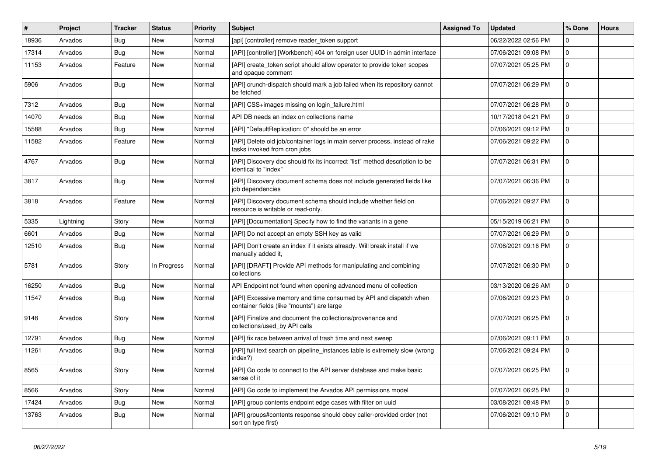| $\#$  | Project   | <b>Tracker</b> | <b>Status</b> | <b>Priority</b> | <b>Subject</b>                                                                                                  | <b>Assigned To</b> | <b>Updated</b>      | % Done       | <b>Hours</b> |
|-------|-----------|----------------|---------------|-----------------|-----------------------------------------------------------------------------------------------------------------|--------------------|---------------------|--------------|--------------|
| 18936 | Arvados   | <b>Bug</b>     | <b>New</b>    | Normal          | [api] [controller] remove reader_token support                                                                  |                    | 06/22/2022 02:56 PM | $\Omega$     |              |
| 17314 | Arvados   | <b>Bug</b>     | <b>New</b>    | Normal          | [API] [controller] [Workbench] 404 on foreign user UUID in admin interface                                      |                    | 07/06/2021 09:08 PM | $\mathbf 0$  |              |
| 11153 | Arvados   | Feature        | New           | Normal          | [API] create_token script should allow operator to provide token scopes<br>and opaque comment                   |                    | 07/07/2021 05:25 PM | $\mathbf 0$  |              |
| 5906  | Arvados   | Bug            | <b>New</b>    | Normal          | [API] crunch-dispatch should mark a job failed when its repository cannot<br>be fetched                         |                    | 07/07/2021 06:29 PM | $\mathbf 0$  |              |
| 7312  | Arvados   | Bug            | New           | Normal          | [API] CSS+images missing on login_failure.html                                                                  |                    | 07/07/2021 06:28 PM | $\mathbf 0$  |              |
| 14070 | Arvados   | Bug            | New           | Normal          | API DB needs an index on collections name                                                                       |                    | 10/17/2018 04:21 PM | $\mathbf{0}$ |              |
| 15588 | Arvados   | Bug            | New           | Normal          | [API] "DefaultReplication: 0" should be an error                                                                |                    | 07/06/2021 09:12 PM | $\mathbf 0$  |              |
| 11582 | Arvados   | Feature        | New           | Normal          | [API] Delete old job/container logs in main server process, instead of rake<br>tasks invoked from cron jobs     |                    | 07/06/2021 09:22 PM | $\mathbf 0$  |              |
| 4767  | Arvados   | <b>Bug</b>     | New           | Normal          | [API] Discovery doc should fix its incorrect "list" method description to be<br>identical to "index"            |                    | 07/07/2021 06:31 PM | $\mathbf 0$  |              |
| 3817  | Arvados   | <b>Bug</b>     | <b>New</b>    | Normal          | [API] Discovery document schema does not include generated fields like<br>job dependencies                      |                    | 07/07/2021 06:36 PM | $\mathbf 0$  |              |
| 3818  | Arvados   | Feature        | New           | Normal          | [API] Discovery document schema should include whether field on<br>resource is writable or read-only.           |                    | 07/06/2021 09:27 PM | $\mathbf 0$  |              |
| 5335  | Lightning | Story          | <b>New</b>    | Normal          | [API] [Documentation] Specify how to find the variants in a gene                                                |                    | 05/15/2019 06:21 PM | $\mathbf 0$  |              |
| 6601  | Arvados   | Bug            | <b>New</b>    | Normal          | [API] Do not accept an empty SSH key as valid                                                                   |                    | 07/07/2021 06:29 PM | $\mathbf 0$  |              |
| 12510 | Arvados   | <b>Bug</b>     | New           | Normal          | [API] Don't create an index if it exists already. Will break install if we<br>manually added it,                |                    | 07/06/2021 09:16 PM | $\mathbf 0$  |              |
| 5781  | Arvados   | Story          | In Progress   | Normal          | [API] [DRAFT] Provide API methods for manipulating and combining<br>collections                                 |                    | 07/07/2021 06:30 PM | $\mathbf 0$  |              |
| 16250 | Arvados   | <b>Bug</b>     | <b>New</b>    | Normal          | API Endpoint not found when opening advanced menu of collection                                                 |                    | 03/13/2020 06:26 AM | $\mathbf{0}$ |              |
| 11547 | Arvados   | <b>Bug</b>     | New           | Normal          | [API] Excessive memory and time consumed by API and dispatch when<br>container fields (like "mounts") are large |                    | 07/06/2021 09:23 PM | $\mathbf 0$  |              |
| 9148  | Arvados   | Story          | New           | Normal          | [API] Finalize and document the collections/provenance and<br>collections/used_by API calls                     |                    | 07/07/2021 06:25 PM | $\mathbf 0$  |              |
| 12791 | Arvados   | Bug            | <b>New</b>    | Normal          | [API] fix race between arrival of trash time and next sweep                                                     |                    | 07/06/2021 09:11 PM | $\mathbf{0}$ |              |
| 11261 | Arvados   | Bug            | New           | Normal          | [API] full text search on pipeline_instances table is extremely slow (wrong<br>index?)                          |                    | 07/06/2021 09:24 PM | $\mathbf 0$  |              |
| 8565  | Arvados   | Story          | New           | Normal          | [API] Go code to connect to the API server database and make basic<br>sense of it                               |                    | 07/07/2021 06:25 PM | $\mathbf 0$  |              |
| 8566  | Arvados   | Story          | New           | Normal          | [API] Go code to implement the Arvados API permissions model                                                    |                    | 07/07/2021 06:25 PM | $\Omega$     |              |
| 17424 | Arvados   | Bug            | New           | Normal          | [API] group contents endpoint edge cases with filter on uuid                                                    |                    | 03/08/2021 08:48 PM | $\Omega$     |              |
| 13763 | Arvados   | <b>Bug</b>     | <b>New</b>    | Normal          | [API] groups#contents response should obey caller-provided order (not<br>sort on type first)                    |                    | 07/06/2021 09:10 PM | $\Omega$     |              |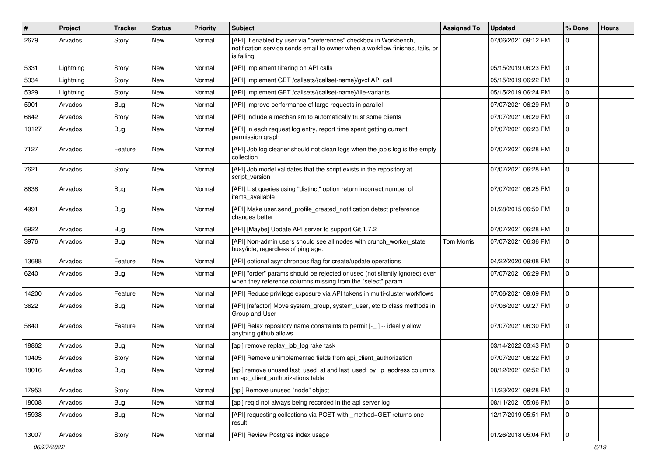| #     | Project   | <b>Tracker</b> | <b>Status</b> | <b>Priority</b> | <b>Subject</b>                                                                                                                                                   | <b>Assigned To</b> | <b>Updated</b>      | % Done      | <b>Hours</b> |
|-------|-----------|----------------|---------------|-----------------|------------------------------------------------------------------------------------------------------------------------------------------------------------------|--------------------|---------------------|-------------|--------------|
| 2679  | Arvados   | Story          | New           | Normal          | [API] If enabled by user via "preferences" checkbox in Workbench,<br>notification service sends email to owner when a workflow finishes, fails, or<br>is failing |                    | 07/06/2021 09:12 PM | $\Omega$    |              |
| 5331  | Lightning | Story          | <b>New</b>    | Normal          | [API] Implement filtering on API calls                                                                                                                           |                    | 05/15/2019 06:23 PM | $\Omega$    |              |
| 5334  | Lightning | Story          | <b>New</b>    | Normal          | [API] Implement GET /callsets/{callset-name}/gvcf API call                                                                                                       |                    | 05/15/2019 06:22 PM | $\mathbf 0$ |              |
| 5329  | Lightning | Story          | New           | Normal          | [API] Implement GET /callsets/{callset-name}/tile-variants                                                                                                       |                    | 05/15/2019 06:24 PM | $\mathbf 0$ |              |
| 5901  | Arvados   | Bug            | New           | Normal          | [API] Improve performance of large requests in parallel                                                                                                          |                    | 07/07/2021 06:29 PM | $\mathbf 0$ |              |
| 6642  | Arvados   | Story          | New           | Normal          | [API] Include a mechanism to automatically trust some clients                                                                                                    |                    | 07/07/2021 06:29 PM | $\mathbf 0$ |              |
| 10127 | Arvados   | Bug            | New           | Normal          | [API] In each request log entry, report time spent getting current<br>permission graph                                                                           |                    | 07/07/2021 06:23 PM | $\Omega$    |              |
| 7127  | Arvados   | Feature        | New           | Normal          | [API] Job log cleaner should not clean logs when the job's log is the empty<br>collection                                                                        |                    | 07/07/2021 06:28 PM | $\mathbf 0$ |              |
| 7621  | Arvados   | Story          | New           | Normal          | [API] Job model validates that the script exists in the repository at<br>script version                                                                          |                    | 07/07/2021 06:28 PM | $\Omega$    |              |
| 8638  | Arvados   | Bug            | New           | Normal          | [API] List queries using "distinct" option return incorrect number of<br>items_available                                                                         |                    | 07/07/2021 06:25 PM | $\mathbf 0$ |              |
| 4991  | Arvados   | <b>Bug</b>     | New           | Normal          | [API] Make user.send_profile_created_notification detect preference<br>changes better                                                                            |                    | 01/28/2015 06:59 PM | $\mathbf 0$ |              |
| 6922  | Arvados   | Bug            | New           | Normal          | [API] [Maybe] Update API server to support Git 1.7.2                                                                                                             |                    | 07/07/2021 06:28 PM | $\mathbf 0$ |              |
| 3976  | Arvados   | Bug            | New           | Normal          | [API] Non-admin users should see all nodes with crunch_worker_state<br>busy/idle, regardless of ping age.                                                        | <b>Tom Morris</b>  | 07/07/2021 06:36 PM | $\Omega$    |              |
| 13688 | Arvados   | Feature        | New           | Normal          | [API] optional asynchronous flag for create/update operations                                                                                                    |                    | 04/22/2020 09:08 PM | $\mathbf 0$ |              |
| 6240  | Arvados   | Bug            | New           | Normal          | [API] "order" params should be rejected or used (not silently ignored) even<br>when they reference columns missing from the "select" param                       |                    | 07/07/2021 06:29 PM | $\mathbf 0$ |              |
| 14200 | Arvados   | Feature        | New           | Normal          | [API] Reduce privilege exposure via API tokens in multi-cluster workflows                                                                                        |                    | 07/06/2021 09:09 PM | $\mathbf 0$ |              |
| 3622  | Arvados   | Bug            | New           | Normal          | [API] [refactor] Move system_group, system_user, etc to class methods in<br>Group and User                                                                       |                    | 07/06/2021 09:27 PM | $\Omega$    |              |
| 5840  | Arvados   | Feature        | New           | Normal          | [API] Relax repository name constraints to permit [-_.] -- ideally allow<br>anything github allows                                                               |                    | 07/07/2021 06:30 PM | $\Omega$    |              |
| 18862 | Arvados   | <b>Bug</b>     | New           | Normal          | [api] remove replay_job_log rake task                                                                                                                            |                    | 03/14/2022 03:43 PM | $\mathbf 0$ |              |
| 10405 | Arvados   | Story          | New           | Normal          | [API] Remove unimplemented fields from api client authorization                                                                                                  |                    | 07/07/2021 06:22 PM | $\mathbf 0$ |              |
| 18016 | Arvados   | Bug            | New           | Normal          | [api] remove unused last_used_at and last_used_by_ip_address columns<br>on api_client_authorizations table                                                       |                    | 08/12/2021 02:52 PM | $\Omega$    |              |
| 17953 | Arvados   | Story          | New           | Normal          | [api] Remove unused "node" object                                                                                                                                |                    | 11/23/2021 09:28 PM | $\mathbf 0$ |              |
| 18008 | Arvados   | <b>Bug</b>     | New           | Normal          | [api] reqid not always being recorded in the api server log                                                                                                      |                    | 08/11/2021 05:06 PM | $\mathbf 0$ |              |
| 15938 | Arvados   | <b>Bug</b>     | New           | Normal          | [API] requesting collections via POST with _method=GET returns one<br>result                                                                                     |                    | 12/17/2019 05:51 PM | $\mathbf 0$ |              |
| 13007 | Arvados   | Story          | New           | Normal          | [API] Review Postgres index usage                                                                                                                                |                    | 01/26/2018 05:04 PM | $\mathbf 0$ |              |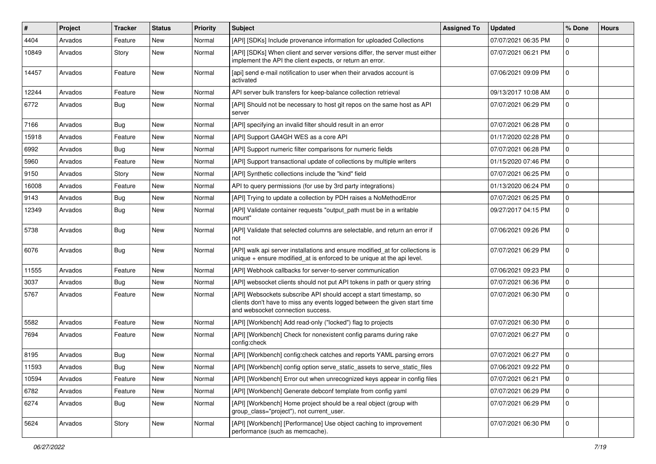| $\vert$ # | Project | <b>Tracker</b> | <b>Status</b> | <b>Priority</b> | Subject                                                                                                                                                                              | <b>Assigned To</b> | <b>Updated</b>      | % Done       | <b>Hours</b> |
|-----------|---------|----------------|---------------|-----------------|--------------------------------------------------------------------------------------------------------------------------------------------------------------------------------------|--------------------|---------------------|--------------|--------------|
| 4404      | Arvados | Feature        | New           | Normal          | [API] [SDKs] Include provenance information for uploaded Collections                                                                                                                 |                    | 07/07/2021 06:35 PM | $\Omega$     |              |
| 10849     | Arvados | Story          | New           | Normal          | [API] [SDKs] When client and server versions differ, the server must either<br>implement the API the client expects, or return an error.                                             |                    | 07/07/2021 06:21 PM | $\mathbf{0}$ |              |
| 14457     | Arvados | Feature        | New           | Normal          | [api] send e-mail notification to user when their arvados account is<br>activated                                                                                                    |                    | 07/06/2021 09:09 PM | $\Omega$     |              |
| 12244     | Arvados | Feature        | New           | Normal          | API server bulk transfers for keep-balance collection retrieval                                                                                                                      |                    | 09/13/2017 10:08 AM | $\Omega$     |              |
| 6772      | Arvados | <b>Bug</b>     | New           | Normal          | [API] Should not be necessary to host git repos on the same host as API<br>server                                                                                                    |                    | 07/07/2021 06:29 PM | $\mathbf 0$  |              |
| 7166      | Arvados | Bug            | New           | Normal          | [API] specifying an invalid filter should result in an error                                                                                                                         |                    | 07/07/2021 06:28 PM | $\mathbf{0}$ |              |
| 15918     | Arvados | Feature        | New           | Normal          | [API] Support GA4GH WES as a core API                                                                                                                                                |                    | 01/17/2020 02:28 PM | $\mathbf 0$  |              |
| 6992      | Arvados | Bug            | New           | Normal          | [API] Support numeric filter comparisons for numeric fields                                                                                                                          |                    | 07/07/2021 06:28 PM | $\Omega$     |              |
| 5960      | Arvados | Feature        | New           | Normal          | [API] Support transactional update of collections by multiple writers                                                                                                                |                    | 01/15/2020 07:46 PM | $\mathbf 0$  |              |
| 9150      | Arvados | Story          | New           | Normal          | [API] Synthetic collections include the "kind" field                                                                                                                                 |                    | 07/07/2021 06:25 PM | $\mathbf{0}$ |              |
| 16008     | Arvados | Feature        | New           | Normal          | API to query permissions (for use by 3rd party integrations)                                                                                                                         |                    | 01/13/2020 06:24 PM | $\Omega$     |              |
| 9143      | Arvados | Bug            | New           | Normal          | [API] Trying to update a collection by PDH raises a NoMethodError                                                                                                                    |                    | 07/07/2021 06:25 PM | $\Omega$     |              |
| 12349     | Arvados | Bug            | New           | Normal          | [API] Validate container requests "output_path must be in a writable<br>mount"                                                                                                       |                    | 09/27/2017 04:15 PM | $\mathbf{0}$ |              |
| 5738      | Arvados | <b>Bug</b>     | New           | Normal          | [API] Validate that selected columns are selectable, and return an error if<br>not                                                                                                   |                    | 07/06/2021 09:26 PM | $\mathbf{0}$ |              |
| 6076      | Arvados | <b>Bug</b>     | New           | Normal          | [API] walk api server installations and ensure modified_at for collections is<br>unique + ensure modified_at is enforced to be unique at the api level.                              |                    | 07/07/2021 06:29 PM | $\Omega$     |              |
| 11555     | Arvados | Feature        | <b>New</b>    | Normal          | [API] Webhook callbacks for server-to-server communication                                                                                                                           |                    | 07/06/2021 09:23 PM | $\Omega$     |              |
| 3037      | Arvados | <b>Bug</b>     | New           | Normal          | [API] websocket clients should not put API tokens in path or query string                                                                                                            |                    | 07/07/2021 06:36 PM | $\Omega$     |              |
| 5767      | Arvados | Feature        | New           | Normal          | [API] Websockets subscribe API should accept a start timestamp, so<br>clients don't have to miss any events logged between the given start time<br>and websocket connection success. |                    | 07/07/2021 06:30 PM | $\mathbf{0}$ |              |
| 5582      | Arvados | Feature        | New           | Normal          | [API] [Workbench] Add read-only ("locked") flag to projects                                                                                                                          |                    | 07/07/2021 06:30 PM | $\mathbf{0}$ |              |
| 7694      | Arvados | Feature        | New           | Normal          | [API] [Workbench] Check for nonexistent config params during rake<br>config:check                                                                                                    |                    | 07/07/2021 06:27 PM | $\Omega$     |              |
| 8195      | Arvados | <b>Bug</b>     | New           | Normal          | [API] [Workbench] config:check catches and reports YAML parsing errors                                                                                                               |                    | 07/07/2021 06:27 PM | $\mathbf 0$  |              |
| 11593     | Arvados | Bug            | New           | Normal          | [API] [Workbench] config option serve static assets to serve static files                                                                                                            |                    | 07/06/2021 09:22 PM | $\mathbf 0$  |              |
| 10594     | Arvados | Feature        | New           | Normal          | [API] [Workbench] Error out when unrecognized keys appear in config files                                                                                                            |                    | 07/07/2021 06:21 PM | $\pmb{0}$    |              |
| 6782      | Arvados | Feature        | New           | Normal          | [API] [Workbench] Generate debconf template from config yaml                                                                                                                         |                    | 07/07/2021 06:29 PM | $\mathbf 0$  |              |
| 6274      | Arvados | <b>Bug</b>     | New           | Normal          | [API] [Workbench] Home project should be a real object (group with<br>group_class="project"), not current_user.                                                                      |                    | 07/07/2021 06:29 PM | $\mathbf 0$  |              |
| 5624      | Arvados | Story          | New           | Normal          | [API] [Workbench] [Performance] Use object caching to improvement<br>performance (such as memcache).                                                                                 |                    | 07/07/2021 06:30 PM | $\Omega$     |              |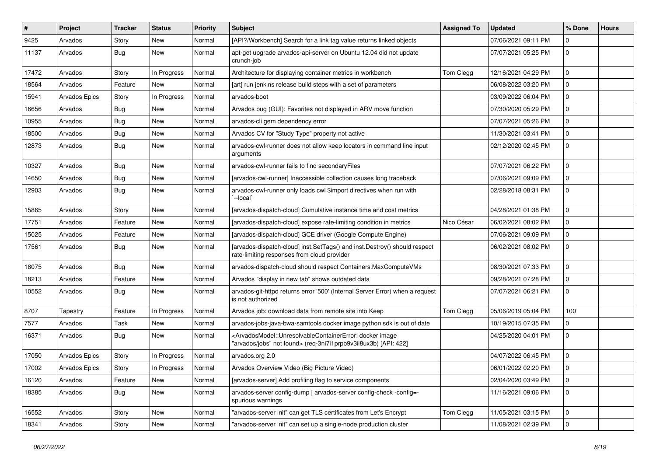| #     | Project       | <b>Tracker</b> | <b>Status</b> | <b>Priority</b> | <b>Subject</b>                                                                                                                                                                  | <b>Assigned To</b> | <b>Updated</b>      | % Done      | <b>Hours</b> |
|-------|---------------|----------------|---------------|-----------------|---------------------------------------------------------------------------------------------------------------------------------------------------------------------------------|--------------------|---------------------|-------------|--------------|
| 9425  | Arvados       | Story          | New           | Normal          | [API?/Workbench] Search for a link tag value returns linked objects                                                                                                             |                    | 07/06/2021 09:11 PM | $\mathbf 0$ |              |
| 11137 | Arvados       | <b>Bug</b>     | New           | Normal          | apt-get upgrade arvados-api-server on Ubuntu 12.04 did not update<br>crunch-job                                                                                                 |                    | 07/07/2021 05:25 PM | $\mathbf 0$ |              |
| 17472 | Arvados       | Story          | In Progress   | Normal          | Architecture for displaying container metrics in workbench                                                                                                                      | Tom Clegg          | 12/16/2021 04:29 PM | $\mathbf 0$ |              |
| 18564 | Arvados       | Feature        | New           | Normal          | [art] run jenkins release build steps with a set of parameters                                                                                                                  |                    | 06/08/2022 03:20 PM | $\mathbf 0$ |              |
| 15941 | Arvados Epics | Story          | In Progress   | Normal          | arvados-boot                                                                                                                                                                    |                    | 03/09/2022 06:04 PM | $\mathbf 0$ |              |
| 16656 | Arvados       | Bug            | New           | Normal          | Arvados bug (GUI): Favorites not displayed in ARV move function                                                                                                                 |                    | 07/30/2020 05:29 PM | $\mathbf 0$ |              |
| 10955 | Arvados       | Bug            | New           | Normal          | arvados-cli gem dependency error                                                                                                                                                |                    | 07/07/2021 05:26 PM | $\mathbf 0$ |              |
| 18500 | Arvados       | <b>Bug</b>     | New           | Normal          | Arvados CV for "Study Type" property not active                                                                                                                                 |                    | 11/30/2021 03:41 PM | $\mathbf 0$ |              |
| 12873 | Arvados       | Bug            | New           | Normal          | arvados-cwl-runner does not allow keep locators in command line input<br>arguments                                                                                              |                    | 02/12/2020 02:45 PM | $\mathbf 0$ |              |
| 10327 | Arvados       | Bug            | New           | Normal          | arvados-cwl-runner fails to find secondaryFiles                                                                                                                                 |                    | 07/07/2021 06:22 PM | $\mathbf 0$ |              |
| 14650 | Arvados       | <b>Bug</b>     | New           | Normal          | [arvados-cwl-runner] Inaccessible collection causes long traceback                                                                                                              |                    | 07/06/2021 09:09 PM | $\mathbf 0$ |              |
| 12903 | Arvados       | <b>Bug</b>     | New           | Normal          | arvados-cwl-runner only loads cwl \$import directives when run with<br>`--local`                                                                                                |                    | 02/28/2018 08:31 PM | $\mathbf 0$ |              |
| 15865 | Arvados       | Story          | New           | Normal          | [arvados-dispatch-cloud] Cumulative instance time and cost metrics                                                                                                              |                    | 04/28/2021 01:38 PM | $\mathbf 0$ |              |
| 17751 | Arvados       | Feature        | New           | Normal          | [arvados-dispatch-cloud] expose rate-limiting condition in metrics                                                                                                              | Nico César         | 06/02/2021 08:02 PM | $\mathbf 0$ |              |
| 15025 | Arvados       | Feature        | New           | Normal          | [arvados-dispatch-cloud] GCE driver (Google Compute Engine)                                                                                                                     |                    | 07/06/2021 09:09 PM | $\mathbf 0$ |              |
| 17561 | Arvados       | <b>Bug</b>     | New           | Normal          | [arvados-dispatch-cloud] inst.SetTags() and inst.Destroy() should respect<br>rate-limiting responses from cloud provider                                                        |                    | 06/02/2021 08:02 PM | $\mathbf 0$ |              |
| 18075 | Arvados       | Bug            | New           | Normal          | arvados-dispatch-cloud should respect Containers.MaxComputeVMs                                                                                                                  |                    | 08/30/2021 07:33 PM | $\mathbf 0$ |              |
| 18213 | Arvados       | Feature        | New           | Normal          | Arvados "display in new tab" shows outdated data                                                                                                                                |                    | 09/28/2021 07:28 PM | $\mathbf 0$ |              |
| 10552 | Arvados       | Bug            | New           | Normal          | arvados-git-httpd returns error '500' (Internal Server Error) when a request<br>is not authorized                                                                               |                    | 07/07/2021 06:21 PM | $\mathbf 0$ |              |
| 8707  | Tapestry      | Feature        | In Progress   | Normal          | Arvados job: download data from remote site into Keep                                                                                                                           | Tom Clegg          | 05/06/2019 05:04 PM | 100         |              |
| 7577  | Arvados       | Task           | New           | Normal          | arvados-jobs-java-bwa-samtools docker image python sdk is out of date                                                                                                           |                    | 10/19/2015 07:35 PM | $\mathbf 0$ |              |
| 16371 | Arvados       | <b>Bug</b>     | New           | Normal          | <arvadosmodel::unresolvablecontainererror: docker="" image<br="">"arvados/jobs" not found&gt; (req-3ni7i1prpb9v3ii8ux3b) [API: 422]</arvadosmodel::unresolvablecontainererror:> |                    | 04/25/2020 04:01 PM | $\mathbf 0$ |              |
| 17050 | Arvados Epics | Story          | In Progress   | Normal          | arvados.org 2.0                                                                                                                                                                 |                    | 04/07/2022 06:45 PM | $\mathbf 0$ |              |
| 17002 | Arvados Epics | Story          | In Progress   | Normal          | Arvados Overview Video (Big Picture Video)                                                                                                                                      |                    | 06/01/2022 02:20 PM | $\mathbf 0$ |              |
| 16120 | Arvados       | Feature        | New           | Normal          | [arvados-server] Add profiling flag to service components                                                                                                                       |                    | 02/04/2020 03:49 PM | $\mathbf 0$ |              |
| 18385 | Arvados       | <b>Bug</b>     | New           | Normal          | arvados-server config-dump   arvados-server config-check -config=-<br>spurious warnings                                                                                         |                    | 11/16/2021 09:06 PM | $\mathbf 0$ |              |
| 16552 | Arvados       | Story          | New           | Normal          | "arvados-server init" can get TLS certificates from Let's Encrypt                                                                                                               | Tom Clegg          | 11/05/2021 03:15 PM | $\mathbf 0$ |              |
| 18341 | Arvados       | Story          | New           | Normal          | "arvados-server init" can set up a single-node production cluster                                                                                                               |                    | 11/08/2021 02:39 PM | $\mathbf 0$ |              |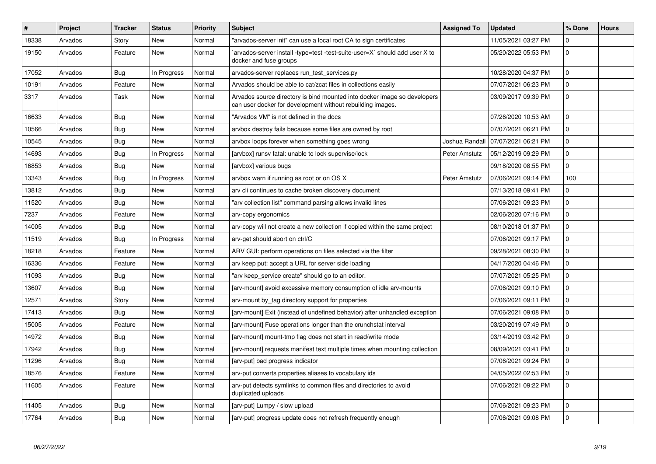| #     | Project | <b>Tracker</b> | <b>Status</b> | <b>Priority</b> | <b>Subject</b>                                                                                                                         | <b>Assigned To</b> | <b>Updated</b>      | % Done       | <b>Hours</b> |
|-------|---------|----------------|---------------|-----------------|----------------------------------------------------------------------------------------------------------------------------------------|--------------------|---------------------|--------------|--------------|
| 18338 | Arvados | Story          | <b>New</b>    | Normal          | "arvados-server init" can use a local root CA to sign certificates                                                                     |                    | 11/05/2021 03:27 PM | $\Omega$     |              |
| 19150 | Arvados | Feature        | <b>New</b>    | Normal          | arvados-server install -type=test -test-suite-user=X` should add user X to<br>docker and fuse groups                                   |                    | 05/20/2022 05:53 PM | $\Omega$     |              |
| 17052 | Arvados | Bug            | In Progress   | Normal          | arvados-server replaces run test services.py                                                                                           |                    | 10/28/2020 04:37 PM | $\mathbf{0}$ |              |
| 10191 | Arvados | Feature        | <b>New</b>    | Normal          | Arvados should be able to cat/zcat files in collections easily                                                                         |                    | 07/07/2021 06:23 PM | $\mathbf 0$  |              |
| 3317  | Arvados | Task           | <b>New</b>    | Normal          | Arvados source directory is bind mounted into docker image so developers<br>can user docker for development without rebuilding images. |                    | 03/09/2017 09:39 PM | $\mathbf{0}$ |              |
| 16633 | Arvados | Bug            | <b>New</b>    | Normal          | "Arvados VM" is not defined in the docs                                                                                                |                    | 07/26/2020 10:53 AM | $\mathbf 0$  |              |
| 10566 | Arvados | Bug            | <b>New</b>    | Normal          | arvbox destroy fails because some files are owned by root                                                                              |                    | 07/07/2021 06:21 PM | $\mathbf 0$  |              |
| 10545 | Arvados | <b>Bug</b>     | <b>New</b>    | Normal          | arvbox loops forever when something goes wrong                                                                                         | Joshua Randall     | 07/07/2021 06:21 PM | $\mathbf 0$  |              |
| 14693 | Arvados | Bug            | In Progress   | Normal          | [arvbox] runsv fatal: unable to lock supervise/lock                                                                                    | Peter Amstutz      | 05/12/2019 09:29 PM | $\pmb{0}$    |              |
| 16853 | Arvados | <b>Bug</b>     | <b>New</b>    | Normal          | [arvbox] various bugs                                                                                                                  |                    | 09/18/2020 08:55 PM | $\mathbf 0$  |              |
| 13343 | Arvados | Bug            | In Progress   | Normal          | arvbox warn if running as root or on OS X                                                                                              | Peter Amstutz      | 07/06/2021 09:14 PM | 100          |              |
| 13812 | Arvados | Bug            | <b>New</b>    | Normal          | arv cli continues to cache broken discovery document                                                                                   |                    | 07/13/2018 09:41 PM | $\mathbf 0$  |              |
| 11520 | Arvados | Bug            | <b>New</b>    | Normal          | "arv collection list" command parsing allows invalid lines                                                                             |                    | 07/06/2021 09:23 PM | $\mathbf 0$  |              |
| 7237  | Arvados | Feature        | <b>New</b>    | Normal          | arv-copy ergonomics                                                                                                                    |                    | 02/06/2020 07:16 PM | $\pmb{0}$    |              |
| 14005 | Arvados | Bug            | <b>New</b>    | Normal          | arv-copy will not create a new collection if copied within the same project                                                            |                    | 08/10/2018 01:37 PM | $\mathbf 0$  |              |
| 11519 | Arvados | <b>Bug</b>     | In Progress   | Normal          | arv-get should abort on ctrl/C                                                                                                         |                    | 07/06/2021 09:17 PM | 0            |              |
| 18218 | Arvados | Feature        | <b>New</b>    | Normal          | ARV GUI: perform operations on files selected via the filter                                                                           |                    | 09/28/2021 08:30 PM | $\mathbf 0$  |              |
| 16336 | Arvados | Feature        | <b>New</b>    | Normal          | arv keep put: accept a URL for server side loading                                                                                     |                    | 04/17/2020 04:46 PM | 0            |              |
| 11093 | Arvados | Bug            | New           | Normal          | "arv keep service create" should go to an editor.                                                                                      |                    | 07/07/2021 05:25 PM | $\Omega$     |              |
| 13607 | Arvados | Bug            | <b>New</b>    | Normal          | [arv-mount] avoid excessive memory consumption of idle arv-mounts                                                                      |                    | 07/06/2021 09:10 PM | 0            |              |
| 12571 | Arvados | Story          | <b>New</b>    | Normal          | arv-mount by tag directory support for properties                                                                                      |                    | 07/06/2021 09:11 PM | $\mathbf 0$  |              |
| 17413 | Arvados | Bug            | <b>New</b>    | Normal          | [arv-mount] Exit (instead of undefined behavior) after unhandled exception                                                             |                    | 07/06/2021 09:08 PM | $\mathbf 0$  |              |
| 15005 | Arvados | Feature        | <b>New</b>    | Normal          | [arv-mount] Fuse operations longer than the crunchstat interval                                                                        |                    | 03/20/2019 07:49 PM | $\mathbf 0$  |              |
| 14972 | Arvados | Bug            | <b>New</b>    | Normal          | [arv-mount] mount-tmp flag does not start in read/write mode                                                                           |                    | 03/14/2019 03:42 PM | $\mathbf 0$  |              |
| 17942 | Arvados | <b>Bug</b>     | <b>New</b>    | Normal          | [arv-mount] requests manifest text multiple times when mounting collection                                                             |                    | 08/09/2021 03:41 PM | $\mathbf 0$  |              |
| 11296 | Arvados | <b>Bug</b>     | <b>New</b>    | Normal          | [arv-put] bad progress indicator                                                                                                       |                    | 07/06/2021 09:24 PM | $\mathbf 0$  |              |
| 18576 | Arvados | Feature        | <b>New</b>    | Normal          | arv-put converts properties aliases to vocabulary ids                                                                                  |                    | 04/05/2022 02:53 PM | $\mathbf 0$  |              |
| 11605 | Arvados | Feature        | <b>New</b>    | Normal          | arv-put detects symlinks to common files and directories to avoid<br>duplicated uploads                                                |                    | 07/06/2021 09:22 PM | $\mathbf{0}$ |              |
| 11405 | Arvados | Bug            | <b>New</b>    | Normal          | [arv-put] Lumpy / slow upload                                                                                                          |                    | 07/06/2021 09:23 PM | $\mathbf 0$  |              |
| 17764 | Arvados | Bug            | <b>New</b>    | Normal          | [arv-put] progress update does not refresh frequently enough                                                                           |                    | 07/06/2021 09:08 PM | $\pmb{0}$    |              |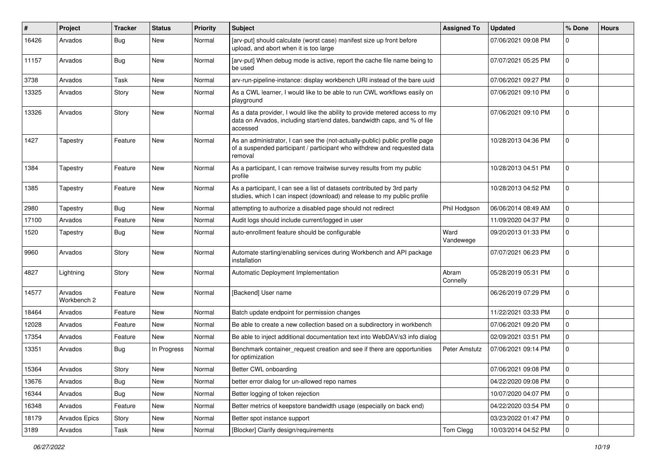| #     | Project                | <b>Tracker</b> | <b>Status</b> | <b>Priority</b> | <b>Subject</b>                                                                                                                                                        | <b>Assigned To</b> | <b>Updated</b>      | % Done      | <b>Hours</b> |
|-------|------------------------|----------------|---------------|-----------------|-----------------------------------------------------------------------------------------------------------------------------------------------------------------------|--------------------|---------------------|-------------|--------------|
| 16426 | Arvados                | Bug            | New           | Normal          | [arv-put] should calculate (worst case) manifest size up front before<br>upload, and abort when it is too large                                                       |                    | 07/06/2021 09:08 PM | $\Omega$    |              |
| 11157 | Arvados                | Bug            | New           | Normal          | [arv-put] When debug mode is active, report the cache file name being to<br>be used                                                                                   |                    | 07/07/2021 05:25 PM | $\Omega$    |              |
| 3738  | Arvados                | Task           | New           | Normal          | arv-run-pipeline-instance: display workbench URI instead of the bare uuid                                                                                             |                    | 07/06/2021 09:27 PM | $\mathbf 0$ |              |
| 13325 | Arvados                | Story          | New           | Normal          | As a CWL learner, I would like to be able to run CWL workflows easily on<br>playground                                                                                |                    | 07/06/2021 09:10 PM | $\Omega$    |              |
| 13326 | Arvados                | Story          | New           | Normal          | As a data provider, I would like the ability to provide metered access to my<br>data on Arvados, including start/end dates, bandwidth caps, and % of file<br>accessed |                    | 07/06/2021 09:10 PM | 0           |              |
| 1427  | Tapestry               | Feature        | New           | Normal          | As an administrator, I can see the (not-actually-public) public profile page<br>of a suspended participant / participant who withdrew and requested data<br>removal   |                    | 10/28/2013 04:36 PM | $\mathbf 0$ |              |
| 1384  | Tapestry               | Feature        | New           | Normal          | As a participant, I can remove traitwise survey results from my public<br>profile                                                                                     |                    | 10/28/2013 04:51 PM | $\Omega$    |              |
| 1385  | Tapestry               | Feature        | New           | Normal          | As a participant, I can see a list of datasets contributed by 3rd party<br>studies, which I can inspect (download) and release to my public profile                   |                    | 10/28/2013 04:52 PM | $\mathbf 0$ |              |
| 2980  | Tapestry               | Bug            | New           | Normal          | attempting to authorize a disabled page should not redirect                                                                                                           | Phil Hodgson       | 06/06/2014 08:49 AM | $\Omega$    |              |
| 17100 | Arvados                | Feature        | New           | Normal          | Audit logs should include current/logged in user                                                                                                                      |                    | 11/09/2020 04:37 PM | $\mathbf 0$ |              |
| 1520  | Tapestry               | Bug            | New           | Normal          | auto-enrollment feature should be configurable                                                                                                                        | Ward<br>Vandewege  | 09/20/2013 01:33 PM | $\mathbf 0$ |              |
| 9960  | Arvados                | Story          | New           | Normal          | Automate starting/enabling services during Workbench and API package<br>installation                                                                                  |                    | 07/07/2021 06:23 PM | $\mathbf 0$ |              |
| 4827  | Lightning              | Story          | New           | Normal          | Automatic Deployment Implementation                                                                                                                                   | Abram<br>Connelly  | 05/28/2019 05:31 PM | $\Omega$    |              |
| 14577 | Arvados<br>Workbench 2 | Feature        | New           | Normal          | [Backend] User name                                                                                                                                                   |                    | 06/26/2019 07:29 PM | $\mathbf 0$ |              |
| 18464 | Arvados                | Feature        | New           | Normal          | Batch update endpoint for permission changes                                                                                                                          |                    | 11/22/2021 03:33 PM | $\Omega$    |              |
| 12028 | Arvados                | Feature        | New           | Normal          | Be able to create a new collection based on a subdirectory in workbench                                                                                               |                    | 07/06/2021 09:20 PM | $\Omega$    |              |
| 17354 | Arvados                | Feature        | New           | Normal          | Be able to inject additional documentation text into WebDAV/s3 info dialog                                                                                            |                    | 02/09/2021 03:51 PM | 0           |              |
| 13351 | Arvados                | Bug            | In Progress   | Normal          | Benchmark container_request creation and see if there are opportunities<br>for optimization                                                                           | Peter Amstutz      | 07/06/2021 09:14 PM | $\mathbf 0$ |              |
| 15364 | Arvados                | Story          | New           | Normal          | Better CWL onboarding                                                                                                                                                 |                    | 07/06/2021 09:08 PM | 0           |              |
| 13676 | Arvados                | Bug            | New           | Normal          | better error dialog for un-allowed repo names                                                                                                                         |                    | 04/22/2020 09:08 PM | 0           |              |
| 16344 | Arvados                | <b>Bug</b>     | New           | Normal          | Better logging of token rejection                                                                                                                                     |                    | 10/07/2020 04:07 PM | 0           |              |
| 16348 | Arvados                | Feature        | New           | Normal          | Better metrics of keepstore bandwidth usage (especially on back end)                                                                                                  |                    | 04/22/2020 03:54 PM | 0           |              |
| 18179 | Arvados Epics          | Story          | New           | Normal          | Better spot instance support                                                                                                                                          |                    | 03/23/2022 01:47 PM | 0           |              |
| 3189  | Arvados                | Task           | New           | Normal          | [Blocker] Clarify design/requirements                                                                                                                                 | Tom Clegg          | 10/03/2014 04:52 PM | 0           |              |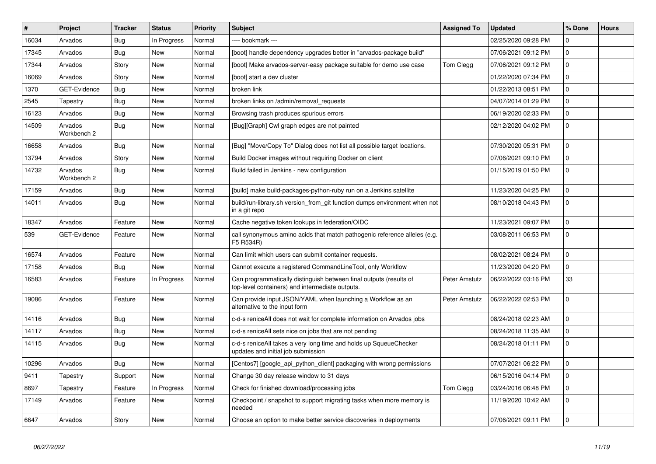| #     | <b>Project</b>         | <b>Tracker</b> | <b>Status</b> | Priority | <b>Subject</b>                                                                                                        | <b>Assigned To</b> | <b>Updated</b>      | % Done      | <b>Hours</b> |
|-------|------------------------|----------------|---------------|----------|-----------------------------------------------------------------------------------------------------------------------|--------------------|---------------------|-------------|--------------|
| 16034 | Arvados                | Bug            | In Progress   | Normal   | ---- bookmark ---                                                                                                     |                    | 02/25/2020 09:28 PM | $\Omega$    |              |
| 17345 | Arvados                | Bug            | New           | Normal   | [boot] handle dependency upgrades better in "arvados-package build"                                                   |                    | 07/06/2021 09:12 PM | $\Omega$    |              |
| 17344 | Arvados                | Story          | <b>New</b>    | Normal   | [boot] Make arvados-server-easy package suitable for demo use case                                                    | Tom Clegg          | 07/06/2021 09:12 PM | $\mathbf 0$ |              |
| 16069 | Arvados                | Story          | New           | Normal   | [boot] start a dev cluster                                                                                            |                    | 01/22/2020 07:34 PM | $\mathbf 0$ |              |
| 1370  | GET-Evidence           | Bug            | <b>New</b>    | Normal   | broken link                                                                                                           |                    | 01/22/2013 08:51 PM | $\pmb{0}$   |              |
| 2545  | Tapestry               | Bug            | <b>New</b>    | Normal   | broken links on /admin/removal requests                                                                               |                    | 04/07/2014 01:29 PM | $\mathbf 0$ |              |
| 16123 | Arvados                | Bug            | <b>New</b>    | Normal   | Browsing trash produces spurious errors                                                                               |                    | 06/19/2020 02:33 PM | $\mathbf 0$ |              |
| 14509 | Arvados<br>Workbench 2 | Bug            | <b>New</b>    | Normal   | [Bug][Graph] Cwl graph edges are not painted                                                                          |                    | 02/12/2020 04:02 PM | $\mathbf 0$ |              |
| 16658 | Arvados                | <b>Bug</b>     | <b>New</b>    | Normal   | [Bug] "Move/Copy To" Dialog does not list all possible target locations.                                              |                    | 07/30/2020 05:31 PM | $\mathbf 0$ |              |
| 13794 | Arvados                | Story          | New           | Normal   | Build Docker images without requiring Docker on client                                                                |                    | 07/06/2021 09:10 PM | 0           |              |
| 14732 | Arvados<br>Workbench 2 | Bug            | <b>New</b>    | Normal   | Build failed in Jenkins - new configuration                                                                           |                    | 01/15/2019 01:50 PM | $\mathbf 0$ |              |
| 17159 | Arvados                | <b>Bug</b>     | <b>New</b>    | Normal   | [build] make build-packages-python-ruby run on a Jenkins satellite                                                    |                    | 11/23/2020 04:25 PM | $\mathbf 0$ |              |
| 14011 | Arvados                | Bug            | <b>New</b>    | Normal   | build/run-library.sh version from git function dumps environment when not<br>in a git repo                            |                    | 08/10/2018 04:43 PM | $\mathbf 0$ |              |
| 18347 | Arvados                | Feature        | New           | Normal   | Cache negative token lookups in federation/OIDC                                                                       |                    | 11/23/2021 09:07 PM | $\mathbf 0$ |              |
| 539   | GET-Evidence           | Feature        | New           | Normal   | call synonymous amino acids that match pathogenic reference alleles (e.g.<br>F5 R534R)                                |                    | 03/08/2011 06:53 PM | $\mathbf 0$ |              |
| 16574 | Arvados                | Feature        | New           | Normal   | Can limit which users can submit container requests.                                                                  |                    | 08/02/2021 08:24 PM | $\Omega$    |              |
| 17158 | Arvados                | Bug            | New           | Normal   | Cannot execute a registered CommandLineTool, only Workflow                                                            |                    | 11/23/2020 04:20 PM | 0           |              |
| 16583 | Arvados                | Feature        | In Progress   | Normal   | Can programmatically distinguish between final outputs (results of<br>top-level containers) and intermediate outputs. | Peter Amstutz      | 06/22/2022 03:16 PM | 33          |              |
| 19086 | Arvados                | Feature        | New           | Normal   | Can provide input JSON/YAML when launching a Workflow as an<br>alternative to the input form                          | Peter Amstutz      | 06/22/2022 02:53 PM | $\mathbf 0$ |              |
| 14116 | Arvados                | Bug            | <b>New</b>    | Normal   | c-d-s reniceAll does not wait for complete information on Arvados jobs                                                |                    | 08/24/2018 02:23 AM | $\Omega$    |              |
| 14117 | Arvados                | Bug            | <b>New</b>    | Normal   | c-d-s reniceAll sets nice on jobs that are not pending                                                                |                    | 08/24/2018 11:35 AM | 0           |              |
| 14115 | Arvados                | Bug            | <b>New</b>    | Normal   | c-d-s reniceAll takes a very long time and holds up SqueueChecker<br>updates and initial job submission               |                    | 08/24/2018 01:11 PM | $\pmb{0}$   |              |
| 10296 | Arvados                | Bug            | <b>New</b>    | Normal   | [Centos7] [google api python client] packaging with wrong permissions                                                 |                    | 07/07/2021 06:22 PM | $\Omega$    |              |
| 9411  | Tapestry               | Support        | <b>New</b>    | Normal   | Change 30 day release window to 31 days                                                                               |                    | 06/15/2016 04:14 PM | $\mathbf 0$ |              |
| 8697  | Tapestry               | Feature        | In Progress   | Normal   | Check for finished download/processing jobs                                                                           | Tom Clegg          | 03/24/2016 06:48 PM | $\mathbf 0$ |              |
| 17149 | Arvados                | Feature        | <b>New</b>    | Normal   | Checkpoint / snapshot to support migrating tasks when more memory is<br>needed                                        |                    | 11/19/2020 10:42 AM | $\mathbf 0$ |              |
| 6647  | Arvados                | Story          | <b>New</b>    | Normal   | Choose an option to make better service discoveries in deployments                                                    |                    | 07/06/2021 09:11 PM | $\Omega$    |              |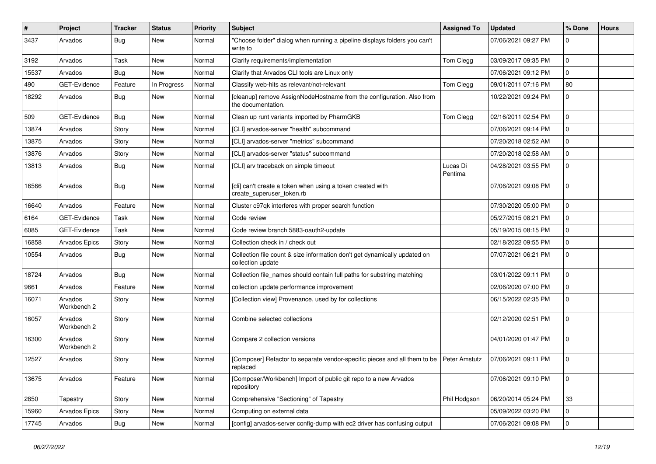| $\sharp$ | Project                | Tracker    | <b>Status</b> | <b>Priority</b> | <b>Subject</b>                                                                                 | <b>Assigned To</b>  | <b>Updated</b>      | % Done      | <b>Hours</b> |
|----------|------------------------|------------|---------------|-----------------|------------------------------------------------------------------------------------------------|---------------------|---------------------|-------------|--------------|
| 3437     | Arvados                | <b>Bug</b> | New           | Normal          | "Choose folder" dialog when running a pipeline displays folders you can't<br>write to          |                     | 07/06/2021 09:27 PM | 0           |              |
| 3192     | Arvados                | Task       | New           | Normal          | Clarify requirements/implementation                                                            | Tom Clegg           | 03/09/2017 09:35 PM | 0           |              |
| 15537    | Arvados                | <b>Bug</b> | New           | Normal          | Clarify that Arvados CLI tools are Linux only                                                  |                     | 07/06/2021 09:12 PM | 0           |              |
| 490      | GET-Evidence           | Feature    | In Progress   | Normal          | Classify web-hits as relevant/not-relevant                                                     | Tom Clegg           | 09/01/2011 07:16 PM | 80          |              |
| 18292    | Arvados                | <b>Bug</b> | New           | Normal          | [cleanup] remove AssignNodeHostname from the configuration. Also from<br>the documentation.    |                     | 10/22/2021 09:24 PM | 0           |              |
| 509      | GET-Evidence           | <b>Bug</b> | New           | Normal          | Clean up runt variants imported by PharmGKB                                                    | Tom Clegg           | 02/16/2011 02:54 PM | 0           |              |
| 13874    | Arvados                | Story      | New           | Normal          | [CLI] arvados-server "health" subcommand                                                       |                     | 07/06/2021 09:14 PM | $\mathbf 0$ |              |
| 13875    | Arvados                | Story      | <b>New</b>    | Normal          | [CLI] arvados-server "metrics" subcommand                                                      |                     | 07/20/2018 02:52 AM | 0           |              |
| 13876    | Arvados                | Story      | New           | Normal          | [CLI] arvados-server "status" subcommand                                                       |                     | 07/20/2018 02:58 AM | 0           |              |
| 13813    | Arvados                | Bug        | New           | Normal          | [CLI] arv traceback on simple timeout                                                          | Lucas Di<br>Pentima | 04/28/2021 03:55 PM | 0           |              |
| 16566    | Arvados                | <b>Bug</b> | New           | Normal          | [cli] can't create a token when using a token created with<br>create_superuser_token.rb        |                     | 07/06/2021 09:08 PM | $\mathbf 0$ |              |
| 16640    | Arvados                | Feature    | New           | Normal          | Cluster c97qk interferes with proper search function                                           |                     | 07/30/2020 05:00 PM | 0           |              |
| 6164     | <b>GET-Evidence</b>    | Task       | New           | Normal          | Code review                                                                                    |                     | 05/27/2015 08:21 PM | 0           |              |
| 6085     | GET-Evidence           | Task       | <b>New</b>    | Normal          | Code review branch 5883-oauth2-update                                                          |                     | 05/19/2015 08:15 PM | 0           |              |
| 16858    | Arvados Epics          | Story      | New           | Normal          | Collection check in / check out                                                                |                     | 02/18/2022 09:55 PM | 0           |              |
| 10554    | Arvados                | <b>Bug</b> | New           | Normal          | Collection file count & size information don't get dynamically updated on<br>collection update |                     | 07/07/2021 06:21 PM | 0           |              |
| 18724    | Arvados                | <b>Bug</b> | New           | Normal          | Collection file names should contain full paths for substring matching                         |                     | 03/01/2022 09:11 PM | $\mathbf 0$ |              |
| 9661     | Arvados                | Feature    | <b>New</b>    | Normal          | collection update performance improvement                                                      |                     | 02/06/2020 07:00 PM | $\pmb{0}$   |              |
| 16071    | Arvados<br>Workbench 2 | Story      | New           | Normal          | [Collection view] Provenance, used by for collections                                          |                     | 06/15/2022 02:35 PM | 0           |              |
| 16057    | Arvados<br>Workbench 2 | Story      | <b>New</b>    | Normal          | Combine selected collections                                                                   |                     | 02/12/2020 02:51 PM | 0           |              |
| 16300    | Arvados<br>Workbench 2 | Story      | <b>New</b>    | Normal          | Compare 2 collection versions                                                                  |                     | 04/01/2020 01:47 PM | $\mathbf 0$ |              |
| 12527    | Arvados                | Story      | <b>New</b>    | Normal          | [Composer] Refactor to separate vendor-specific pieces and all them to be<br>replaced          | Peter Amstutz       | 07/06/2021 09:11 PM | $\mathbf 0$ |              |
| 13675    | Arvados                | Feature    | New           | Normal          | [Composer/Workbench] Import of public git repo to a new Arvados<br>repository                  |                     | 07/06/2021 09:10 PM | $\pmb{0}$   |              |
| 2850     | Tapestry               | Story      | New           | Normal          | Comprehensive "Sectioning" of Tapestry                                                         | Phil Hodgson        | 06/20/2014 05:24 PM | 33          |              |
| 15960    | Arvados Epics          | Story      | New           | Normal          | Computing on external data                                                                     |                     | 05/09/2022 03:20 PM | 0           |              |
| 17745    | Arvados                | Bug        | New           | Normal          | [config] arvados-server config-dump with ec2 driver has confusing output                       |                     | 07/06/2021 09:08 PM | 0           |              |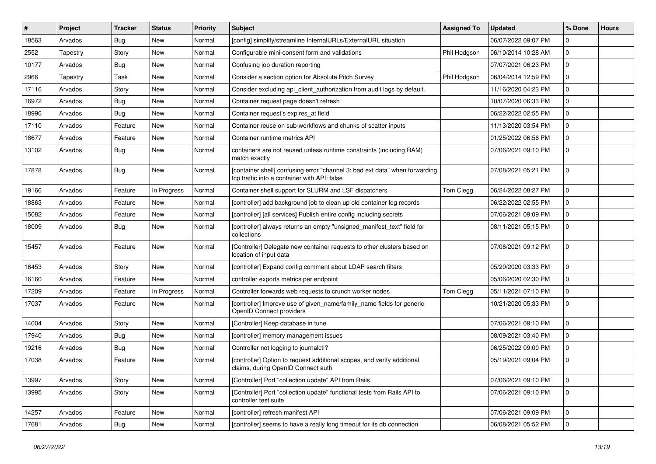| #     | Project  | <b>Tracker</b> | <b>Status</b> | <b>Priority</b> | <b>Subject</b>                                                                                                              | <b>Assigned To</b> | <b>Updated</b>      | % Done       | <b>Hours</b> |
|-------|----------|----------------|---------------|-----------------|-----------------------------------------------------------------------------------------------------------------------------|--------------------|---------------------|--------------|--------------|
| 18563 | Arvados  | Bug            | New           | Normal          | [config] simplify/streamline InternalURLs/ExternalURL situation                                                             |                    | 06/07/2022 09:07 PM | $\Omega$     |              |
| 2552  | Tapestry | Story          | New           | Normal          | Configurable mini-consent form and validations                                                                              | Phil Hodgson       | 06/10/2014 10:28 AM | $\mathbf 0$  |              |
| 10177 | Arvados  | <b>Bug</b>     | New           | Normal          | Confusing job duration reporting                                                                                            |                    | 07/07/2021 06:23 PM | $\mathbf{0}$ |              |
| 2966  | Tapestry | Task           | New           | Normal          | Consider a section option for Absolute Pitch Survey                                                                         | Phil Hodgson       | 06/04/2014 12:59 PM | $\mathbf{0}$ |              |
| 17116 | Arvados  | Story          | <b>New</b>    | Normal          | Consider excluding api_client_authorization from audit logs by default.                                                     |                    | 11/16/2020 04:23 PM | $\mathbf{0}$ |              |
| 16972 | Arvados  | <b>Bug</b>     | New           | Normal          | Container request page doesn't refresh                                                                                      |                    | 10/07/2020 06:33 PM | $\Omega$     |              |
| 18996 | Arvados  | <b>Bug</b>     | <b>New</b>    | Normal          | Container request's expires_at field                                                                                        |                    | 06/22/2022 02:55 PM | $\mathbf 0$  |              |
| 17110 | Arvados  | Feature        | New           | Normal          | Container reuse on sub-workflows and chunks of scatter inputs                                                               |                    | 11/13/2020 03:54 PM | $\mathbf{0}$ |              |
| 18677 | Arvados  | Feature        | New           | Normal          | Container runtime metrics API                                                                                               |                    | 01/25/2022 06:56 PM | $\Omega$     |              |
| 13102 | Arvados  | Bug            | <b>New</b>    | Normal          | containers are not reused unless runtime constraints (including RAM)<br>match exactly                                       |                    | 07/06/2021 09:10 PM | $\mathbf{0}$ |              |
| 17878 | Arvados  | Bug            | New           | Normal          | [container shell] confusing error "channel 3: bad ext data" when forwarding<br>tcp traffic into a container with API: false |                    | 07/08/2021 05:21 PM | $\mathbf 0$  |              |
| 19166 | Arvados  | Feature        | In Progress   | Normal          | Container shell support for SLURM and LSF dispatchers                                                                       | Tom Clegg          | 06/24/2022 08:27 PM | $\mathbf 0$  |              |
| 18863 | Arvados  | Feature        | New           | Normal          | [controller] add background job to clean up old container log records                                                       |                    | 06/22/2022 02:55 PM | $\mathbf 0$  |              |
| 15082 | Arvados  | Feature        | New           | Normal          | [controller] [all services] Publish entire config including secrets                                                         |                    | 07/06/2021 09:09 PM | $\mathbf{0}$ |              |
| 18009 | Arvados  | Bug            | New           | Normal          | [controller] always returns an empty "unsigned_manifest_text" field for<br>collections                                      |                    | 08/11/2021 05:15 PM | $\mathbf 0$  |              |
| 15457 | Arvados  | Feature        | New           | Normal          | [Controller] Delegate new container requests to other clusters based on<br>location of input data                           |                    | 07/06/2021 09:12 PM | $\mathbf 0$  |              |
| 16453 | Arvados  | Story          | <b>New</b>    | Normal          | [controller] Expand config comment about LDAP search filters                                                                |                    | 05/20/2020 03:33 PM | $\mathbf{0}$ |              |
| 16160 | Arvados  | Feature        | New           | Normal          | controller exports metrics per endpoint                                                                                     |                    | 05/06/2020 02:30 PM | $\Omega$     |              |
| 17209 | Arvados  | Feature        | In Progress   | Normal          | Controller forwards web requests to crunch worker nodes                                                                     | Tom Clegg          | 05/11/2021 07:10 PM | $\mathbf 0$  |              |
| 17037 | Arvados  | Feature        | New           | Normal          | [controller] Improve use of given_name/family_name fields for generic<br>OpenID Connect providers                           |                    | 10/21/2020 05:33 PM | $\mathbf 0$  |              |
| 14004 | Arvados  | Story          | <b>New</b>    | Normal          | [Controller] Keep database in tune                                                                                          |                    | 07/06/2021 09:10 PM | $\mathbf 0$  |              |
| 17940 | Arvados  | <b>Bug</b>     | New           | Normal          | [controller] memory management issues                                                                                       |                    | 08/09/2021 03:40 PM | $\mathbf 0$  |              |
| 19216 | Arvados  | <b>Bug</b>     | New           | Normal          | Controller not logging to journalctl?                                                                                       |                    | 06/25/2022 09:00 PM | $\mathbf 0$  |              |
| 17038 | Arvados  | Feature        | <b>New</b>    | Normal          | [controller] Option to request additional scopes, and verify additional<br>claims, during OpenID Connect auth               |                    | 05/19/2021 09:04 PM | $\mathbf 0$  |              |
| 13997 | Arvados  | Story          | New           | Normal          | [Controller] Port "collection update" API from Rails                                                                        |                    | 07/06/2021 09:10 PM | $\mathbf 0$  |              |
| 13995 | Arvados  | Story          | New           | Normal          | [Controller] Port "collection update" functional tests from Rails API to<br>controller test suite                           |                    | 07/06/2021 09:10 PM | $\mathbf 0$  |              |
| 14257 | Arvados  | Feature        | New           | Normal          | [controller] refresh manifest API                                                                                           |                    | 07/06/2021 09:09 PM | $\mathbf 0$  |              |
| 17681 | Arvados  | <b>Bug</b>     | New           | Normal          | [controller] seems to have a really long timeout for its db connection                                                      |                    | 06/08/2021 05:52 PM | $\mathbf{0}$ |              |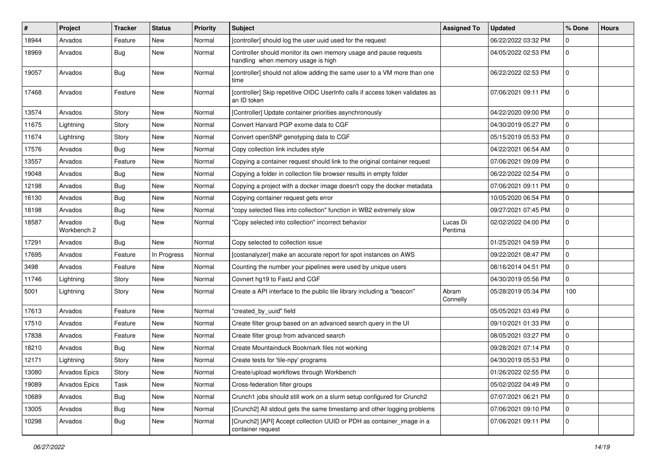| #     | Project                | <b>Tracker</b> | <b>Status</b> | <b>Priority</b> | <b>Subject</b>                                                                                          | <b>Assigned To</b>  | <b>Updated</b>      | % Done      | <b>Hours</b> |
|-------|------------------------|----------------|---------------|-----------------|---------------------------------------------------------------------------------------------------------|---------------------|---------------------|-------------|--------------|
| 18944 | Arvados                | Feature        | New           | Normal          | [controller] should log the user uuid used for the request                                              |                     | 06/22/2022 03:32 PM | $\Omega$    |              |
| 18969 | Arvados                | <b>Bug</b>     | New           | Normal          | Controller should monitor its own memory usage and pause requests<br>handling when memory usage is high |                     | 04/05/2022 02:53 PM | $\Omega$    |              |
| 19057 | Arvados                | <b>Bug</b>     | New           | Normal          | [controller] should not allow adding the same user to a VM more than one<br>time                        |                     | 06/22/2022 02:53 PM | $\mathbf 0$ |              |
| 17468 | Arvados                | Feature        | New           | Normal          | [controller] Skip repetitive OIDC UserInfo calls if access token validates as<br>an ID token            |                     | 07/06/2021 09:11 PM | $\Omega$    |              |
| 13574 | Arvados                | Story          | New           | Normal          | [Controller] Update container priorities asynchronously                                                 |                     | 04/22/2020 09:00 PM | $\mathbf 0$ |              |
| 11675 | Lightning              | Story          | New           | Normal          | Convert Harvard PGP exome data to CGF                                                                   |                     | 04/30/2019 05:27 PM | $\Omega$    |              |
| 11674 | Lightning              | Story          | New           | Normal          | Convert openSNP genotyping data to CGF                                                                  |                     | 05/15/2019 05:53 PM | $\mathbf 0$ |              |
| 17576 | Arvados                | <b>Bug</b>     | New           | Normal          | Copy collection link includes style                                                                     |                     | 04/22/2021 06:54 AM | $\mathbf 0$ |              |
| 13557 | Arvados                | Feature        | New           | Normal          | Copying a container request should link to the original container request                               |                     | 07/06/2021 09:09 PM | $\mathbf 0$ |              |
| 19048 | Arvados                | <b>Bug</b>     | New           | Normal          | Copying a folder in collection file browser results in empty folder                                     |                     | 06/22/2022 02:54 PM | $\mathbf 0$ |              |
| 12198 | Arvados                | <b>Bug</b>     | New           | Normal          | Copying a project with a docker image doesn't copy the docker metadata                                  |                     | 07/06/2021 09:11 PM | $\Omega$    |              |
| 16130 | Arvados                | <b>Bug</b>     | New           | Normal          | Copying container request gets error                                                                    |                     | 10/05/2020 06:54 PM | $\mathbf 0$ |              |
| 18198 | Arvados                | <b>Bug</b>     | New           | Normal          | "copy selected files into collection" function in WB2 extremely slow                                    |                     | 09/27/2021 07:45 PM | $\mathbf 0$ |              |
| 18587 | Arvados<br>Workbench 2 | <b>Bug</b>     | New           | Normal          | "Copy selected into collection" incorrect behavior                                                      | Lucas Di<br>Pentima | 02/02/2022 04:00 PM | $\mathbf 0$ |              |
| 17291 | Arvados                | <b>Bug</b>     | New           | Normal          | Copy selected to collection issue                                                                       |                     | 01/25/2021 04:59 PM | $\mathbf 0$ |              |
| 17695 | Arvados                | Feature        | In Progress   | Normal          | [costanalyzer] make an accurate report for spot instances on AWS                                        |                     | 09/22/2021 08:47 PM | $\mathbf 0$ |              |
| 3498  | Arvados                | Feature        | New           | Normal          | Counting the number your pipelines were used by unique users                                            |                     | 08/16/2014 04:51 PM | $\mathbf 0$ |              |
| 11746 | Lightning              | Story          | New           | Normal          | Covnert hg19 to FastJ and CGF                                                                           |                     | 04/30/2019 05:56 PM | $\Omega$    |              |
| 5001  | Lightning              | Story          | New           | Normal          | Create a API interface to the public tile library including a "beacon"                                  | Abram<br>Connelly   | 05/28/2019 05:34 PM | 100         |              |
| 17613 | Arvados                | Feature        | New           | Normal          | "created_by_uuid" field                                                                                 |                     | 05/05/2021 03:49 PM | $\mathbf 0$ |              |
| 17510 | Arvados                | Feature        | New           | Normal          | Create filter group based on an advanced search query in the UI                                         |                     | 09/10/2021 01:33 PM | $\mathbf 0$ |              |
| 17838 | Arvados                | Feature        | New           | Normal          | Create filter group from advanced search                                                                |                     | 08/05/2021 03:27 PM | $\mathbf 0$ |              |
| 18210 | Arvados                | Bug            | New           | Normal          | Create Mountainduck Bookmark files not working                                                          |                     | 09/28/2021 07:14 PM | $\mathbf 0$ |              |
| 12171 | Lightning              | Story          | New           | Normal          | Create tests for 'tile-npy' programs                                                                    |                     | 04/30/2019 05:53 PM | 0           |              |
| 13080 | Arvados Epics          | Story          | New           | Normal          | Create/upload workflows through Workbench                                                               |                     | 01/26/2022 02:55 PM | $\mathbf 0$ |              |
| 19089 | Arvados Epics          | Task           | New           | Normal          | Cross-federation filter groups                                                                          |                     | 05/02/2022 04:49 PM | $\mathbf 0$ |              |
| 10689 | Arvados                | <b>Bug</b>     | New           | Normal          | Crunch1 jobs should still work on a slurm setup configured for Crunch2                                  |                     | 07/07/2021 06:21 PM | 0           |              |
| 13005 | Arvados                | <b>Bug</b>     | New           | Normal          | [Crunch2] All stdout gets the same timestamp and other logging problems                                 |                     | 07/06/2021 09:10 PM | $\mathbf 0$ |              |
| 10298 | Arvados                | <b>Bug</b>     | New           | Normal          | [Crunch2] [API] Accept collection UUID or PDH as container_image in a<br>container request              |                     | 07/06/2021 09:11 PM | 0           |              |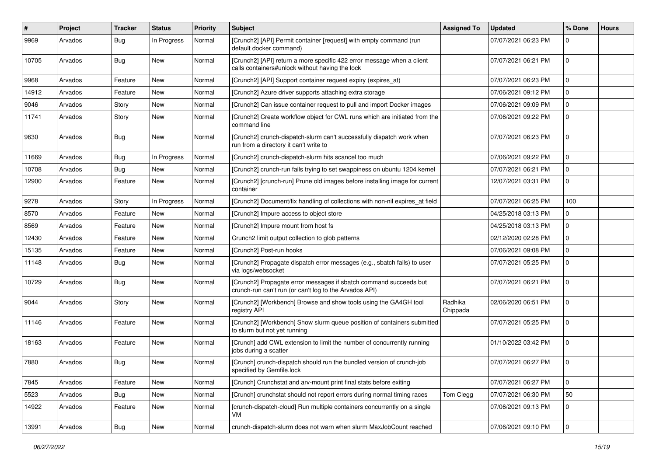| $\pmb{\#}$ | Project | <b>Tracker</b> | <b>Status</b> | <b>Priority</b> | <b>Subject</b>                                                                                                              | <b>Assigned To</b>  | <b>Updated</b>      | % Done      | <b>Hours</b> |
|------------|---------|----------------|---------------|-----------------|-----------------------------------------------------------------------------------------------------------------------------|---------------------|---------------------|-------------|--------------|
| 9969       | Arvados | <b>Bug</b>     | In Progress   | Normal          | [Crunch2] [API] Permit container [request] with empty command (run<br>default docker command)                               |                     | 07/07/2021 06:23 PM | $\Omega$    |              |
| 10705      | Arvados | Bug            | <b>New</b>    | Normal          | [Crunch2] [API] return a more specific 422 error message when a client<br>calls containers#unlock without having the lock   |                     | 07/07/2021 06:21 PM | $\mathbf 0$ |              |
| 9968       | Arvados | Feature        | <b>New</b>    | Normal          | [Crunch2] [API] Support container request expiry (expires_at)                                                               |                     | 07/07/2021 06:23 PM | $\mathbf 0$ |              |
| 14912      | Arvados | Feature        | New           | Normal          | [Crunch2] Azure driver supports attaching extra storage                                                                     |                     | 07/06/2021 09:12 PM | $\Omega$    |              |
| 9046       | Arvados | Story          | New           | Normal          | [Crunch2] Can issue container request to pull and import Docker images                                                      |                     | 07/06/2021 09:09 PM | $\mathbf 0$ |              |
| 11741      | Arvados | Story          | New           | Normal          | [Crunch2] Create workflow object for CWL runs which are initiated from the<br>command line                                  |                     | 07/06/2021 09:22 PM | 0           |              |
| 9630       | Arvados | Bug            | New           | Normal          | [Crunch2] crunch-dispatch-slurm can't successfully dispatch work when<br>run from a directory it can't write to             |                     | 07/07/2021 06:23 PM | $\mathbf 0$ |              |
| 11669      | Arvados | Bug            | In Progress   | Normal          | [Crunch2] crunch-dispatch-slurm hits scancel too much                                                                       |                     | 07/06/2021 09:22 PM | $\mathbf 0$ |              |
| 10708      | Arvados | Bug            | <b>New</b>    | Normal          | [Crunch2] crunch-run fails trying to set swappiness on ubuntu 1204 kernel                                                   |                     | 07/07/2021 06:21 PM | $\mathbf 0$ |              |
| 12900      | Arvados | Feature        | New           | Normal          | [Crunch2] [crunch-run] Prune old images before installing image for current<br>container                                    |                     | 12/07/2021 03:31 PM | 0           |              |
| 9278       | Arvados | Story          | In Progress   | Normal          | [Crunch2] Document/fix handling of collections with non-nil expires at field                                                |                     | 07/07/2021 06:25 PM | 100         |              |
| 8570       | Arvados | Feature        | New           | Normal          | [Crunch2] Impure access to object store                                                                                     |                     | 04/25/2018 03:13 PM | $\mathbf 0$ |              |
| 8569       | Arvados | Feature        | New           | Normal          | [Crunch2] Impure mount from host fs                                                                                         |                     | 04/25/2018 03:13 PM | 0           |              |
| 12430      | Arvados | Feature        | New           | Normal          | Crunch2 limit output collection to glob patterns                                                                            |                     | 02/12/2020 02:28 PM | $\Omega$    |              |
| 15135      | Arvados | Feature        | New           | Normal          | [Crunch2] Post-run hooks                                                                                                    |                     | 07/06/2021 09:08 PM | $\mathbf 0$ |              |
| 11148      | Arvados | Bug            | New           | Normal          | [Crunch2] Propagate dispatch error messages (e.g., sbatch fails) to user<br>via logs/websocket                              |                     | 07/07/2021 05:25 PM | $\mathbf 0$ |              |
| 10729      | Arvados | Bug            | New           | Normal          | [Crunch2] Propagate error messages if sbatch command succeeds but<br>crunch-run can't run (or can't log to the Arvados API) |                     | 07/07/2021 06:21 PM | $\Omega$    |              |
| 9044       | Arvados | Story          | <b>New</b>    | Normal          | [Crunch2] [Workbench] Browse and show tools using the GA4GH tool<br>registry API                                            | Radhika<br>Chippada | 02/06/2020 06:51 PM | $\mathbf 0$ |              |
| 11146      | Arvados | Feature        | <b>New</b>    | Normal          | [Crunch2] [Workbench] Show slurm queue position of containers submitted<br>to slurm but not yet running                     |                     | 07/07/2021 05:25 PM | 0           |              |
| 18163      | Arvados | Feature        | <b>New</b>    | Normal          | [Crunch] add CWL extension to limit the number of concurrently running<br>jobs during a scatter                             |                     | 01/10/2022 03:42 PM | $\mathbf 0$ |              |
| 7880       | Arvados | Bug            | New           | Normal          | [Crunch] crunch-dispatch should run the bundled version of crunch-job<br>specified by Gemfile.lock                          |                     | 07/07/2021 06:27 PM | $\mathbf 0$ |              |
| 7845       | Arvados | Feature        | New           | Normal          | [Crunch] Crunchstat and arv-mount print final stats before exiting                                                          |                     | 07/07/2021 06:27 PM | 0           |              |
| 5523       | Arvados | <b>Bug</b>     | New           | Normal          | [Crunch] crunchstat should not report errors during normal timing races                                                     | Tom Clegg           | 07/07/2021 06:30 PM | 50          |              |
| 14922      | Arvados | Feature        | New           | Normal          | [crunch-dispatch-cloud] Run multiple containers concurrently on a single<br>VM.                                             |                     | 07/06/2021 09:13 PM | 0           |              |
| 13991      | Arvados | <b>Bug</b>     | New           | Normal          | crunch-dispatch-slurm does not warn when slurm MaxJobCount reached                                                          |                     | 07/06/2021 09:10 PM | $\pmb{0}$   |              |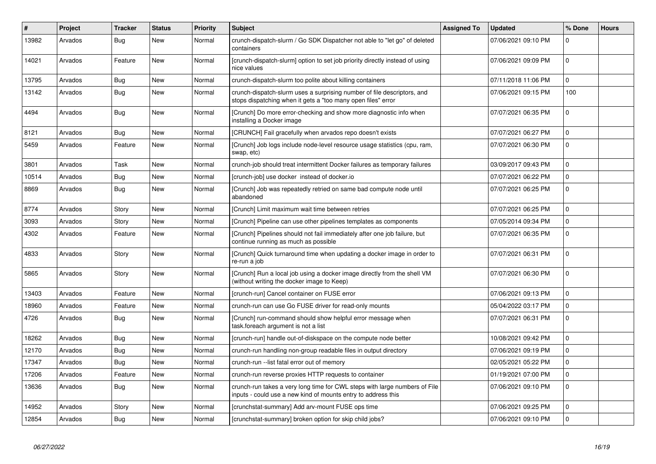| $\#$  | Project | <b>Tracker</b> | <b>Status</b> | <b>Priority</b> | <b>Subject</b>                                                                                                                              | <b>Assigned To</b> | Updated             | % Done      | <b>Hours</b> |
|-------|---------|----------------|---------------|-----------------|---------------------------------------------------------------------------------------------------------------------------------------------|--------------------|---------------------|-------------|--------------|
| 13982 | Arvados | Bug            | <b>New</b>    | Normal          | crunch-dispatch-slurm / Go SDK Dispatcher not able to "let go" of deleted<br>containers                                                     |                    | 07/06/2021 09:10 PM | $\Omega$    |              |
| 14021 | Arvados | Feature        | New           | Normal          | [crunch-dispatch-slurm] option to set job priority directly instead of using<br>nice values                                                 |                    | 07/06/2021 09:09 PM | $\Omega$    |              |
| 13795 | Arvados | Bug            | New           | Normal          | crunch-dispatch-slurm too polite about killing containers                                                                                   |                    | 07/11/2018 11:06 PM | $\mathbf 0$ |              |
| 13142 | Arvados | <b>Bug</b>     | New           | Normal          | crunch-dispatch-slurm uses a surprising number of file descriptors, and<br>stops dispatching when it gets a "too many open files" error     |                    | 07/06/2021 09:15 PM | 100         |              |
| 4494  | Arvados | <b>Bug</b>     | <b>New</b>    | Normal          | [Crunch] Do more error-checking and show more diagnostic info when<br>installing a Docker image                                             |                    | 07/07/2021 06:35 PM | $\Omega$    |              |
| 8121  | Arvados | <b>Bug</b>     | New           | Normal          | [CRUNCH] Fail gracefully when arvados repo doesn't exists                                                                                   |                    | 07/07/2021 06:27 PM | $\mathbf 0$ |              |
| 5459  | Arvados | Feature        | New           | Normal          | [Crunch] Job logs include node-level resource usage statistics (cpu, ram,<br>swap, etc)                                                     |                    | 07/07/2021 06:30 PM | $\mathbf 0$ |              |
| 3801  | Arvados | Task           | <b>New</b>    | Normal          | crunch-job should treat intermittent Docker failures as temporary failures                                                                  |                    | 03/09/2017 09:43 PM | $\mathbf 0$ |              |
| 10514 | Arvados | <b>Bug</b>     | New           | Normal          | [crunch-job] use docker instead of docker.io                                                                                                |                    | 07/07/2021 06:22 PM | $\Omega$    |              |
| 8869  | Arvados | Bug            | <b>New</b>    | Normal          | [Crunch] Job was repeatedly retried on same bad compute node until<br>abandoned                                                             |                    | 07/07/2021 06:25 PM | $\mathbf 0$ |              |
| 8774  | Arvados | Story          | <b>New</b>    | Normal          | [Crunch] Limit maximum wait time between retries                                                                                            |                    | 07/07/2021 06:25 PM | $\Omega$    |              |
| 3093  | Arvados | Story          | New           | Normal          | [Crunch] Pipeline can use other pipelines templates as components                                                                           |                    | 07/05/2014 09:34 PM | $\mathbf 0$ |              |
| 4302  | Arvados | Feature        | New           | Normal          | [Crunch] Pipelines should not fail immediately after one job failure, but<br>continue running as much as possible                           |                    | 07/07/2021 06:35 PM | $\Omega$    |              |
| 4833  | Arvados | Story          | <b>New</b>    | Normal          | [Crunch] Quick turnaround time when updating a docker image in order to<br>re-run a job                                                     |                    | 07/07/2021 06:31 PM | $\Omega$    |              |
| 5865  | Arvados | Story          | New           | Normal          | [Crunch] Run a local job using a docker image directly from the shell VM<br>(without writing the docker image to Keep)                      |                    | 07/07/2021 06:30 PM | $\Omega$    |              |
| 13403 | Arvados | Feature        | <b>New</b>    | Normal          | [crunch-run] Cancel container on FUSE error                                                                                                 |                    | 07/06/2021 09:13 PM | 0           |              |
| 18960 | Arvados | Feature        | New           | Normal          | crunch-run can use Go FUSE driver for read-only mounts                                                                                      |                    | 05/04/2022 03:17 PM | $\mathbf 0$ |              |
| 4726  | Arvados | Bug            | New           | Normal          | [Crunch] run-command should show helpful error message when<br>task.foreach argument is not a list                                          |                    | 07/07/2021 06:31 PM | $\mathbf 0$ |              |
| 18262 | Arvados | Bug            | <b>New</b>    | Normal          | [crunch-run] handle out-of-diskspace on the compute node better                                                                             |                    | 10/08/2021 09:42 PM | $\mathbf 0$ |              |
| 12170 | Arvados | Bug            | New           | Normal          | crunch-run handling non-group readable files in output directory                                                                            |                    | 07/06/2021 09:19 PM | 0           |              |
| 17347 | Arvados | <b>Bug</b>     | <b>New</b>    | Normal          | crunch-run --list fatal error out of memory                                                                                                 |                    | 02/05/2021 05:22 PM | $\mathbf 0$ |              |
| 17206 | Arvados | Feature        | New           | Normal          | crunch-run reverse proxies HTTP requests to container                                                                                       |                    | 01/19/2021 07:00 PM | 0           |              |
| 13636 | Arvados | Bug            | New           | Normal          | crunch-run takes a very long time for CWL steps with large numbers of File<br>inputs - could use a new kind of mounts entry to address this |                    | 07/06/2021 09:10 PM | $\mathbf 0$ |              |
| 14952 | Arvados | Story          | <b>New</b>    | Normal          | [crunchstat-summary] Add arv-mount FUSE ops time                                                                                            |                    | 07/06/2021 09:25 PM | $\mathbf 0$ |              |
| 12854 | Arvados | Bug            | New           | Normal          | [crunchstat-summary] broken option for skip child jobs?                                                                                     |                    | 07/06/2021 09:10 PM | $\Omega$    |              |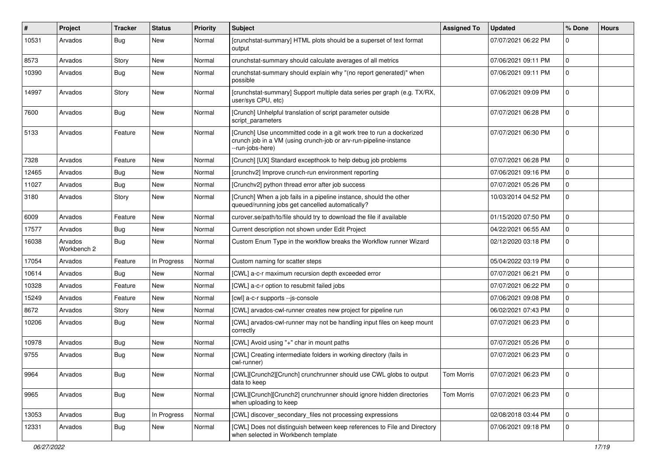| #     | Project                | <b>Tracker</b> | <b>Status</b> | <b>Priority</b> | <b>Subject</b>                                                                                                                                                | <b>Assigned To</b> | <b>Updated</b>      | % Done      | <b>Hours</b> |
|-------|------------------------|----------------|---------------|-----------------|---------------------------------------------------------------------------------------------------------------------------------------------------------------|--------------------|---------------------|-------------|--------------|
| 10531 | Arvados                | <b>Bug</b>     | New           | Normal          | [crunchstat-summary] HTML plots should be a superset of text format<br>output                                                                                 |                    | 07/07/2021 06:22 PM | $\Omega$    |              |
| 8573  | Arvados                | Story          | New           | Normal          | crunchstat-summary should calculate averages of all metrics                                                                                                   |                    | 07/06/2021 09:11 PM | $\mathbf 0$ |              |
| 10390 | Arvados                | <b>Bug</b>     | New           | Normal          | crunchstat-summary should explain why "(no report generated)" when<br>possible                                                                                |                    | 07/06/2021 09:11 PM | $\mathbf 0$ |              |
| 14997 | Arvados                | Story          | New           | Normal          | [crunchstat-summary] Support multiple data series per graph (e.g. TX/RX,<br>user/sys CPU, etc)                                                                |                    | 07/06/2021 09:09 PM | $\Omega$    |              |
| 7600  | Arvados                | Bug            | New           | Normal          | [Crunch] Unhelpful translation of script parameter outside<br>script parameters                                                                               |                    | 07/07/2021 06:28 PM | 0           |              |
| 5133  | Arvados                | Feature        | New           | Normal          | [Crunch] Use uncommitted code in a git work tree to run a dockerized<br>crunch job in a VM (using crunch-job or arv-run-pipeline-instance<br>--run-jobs-here) |                    | 07/07/2021 06:30 PM | $\mathbf 0$ |              |
| 7328  | Arvados                | Feature        | New           | Normal          | [Crunch] [UX] Standard excepthook to help debug job problems                                                                                                  |                    | 07/07/2021 06:28 PM | $\mathbf 0$ |              |
| 12465 | Arvados                | Bug            | New           | Normal          | [crunchv2] Improve crunch-run environment reporting                                                                                                           |                    | 07/06/2021 09:16 PM | $\mathbf 0$ |              |
| 11027 | Arvados                | Bug            | New           | Normal          | [Crunchv2] python thread error after job success                                                                                                              |                    | 07/07/2021 05:26 PM | $\mathbf 0$ |              |
| 3180  | Arvados                | Story          | New           | Normal          | [Crunch] When a job fails in a pipeline instance, should the other<br>queued/running jobs get cancelled automatically?                                        |                    | 10/03/2014 04:52 PM | $\mathbf 0$ |              |
| 6009  | Arvados                | Feature        | New           | Normal          | curover.se/path/to/file should try to download the file if available                                                                                          |                    | 01/15/2020 07:50 PM | $\Omega$    |              |
| 17577 | Arvados                | Bug            | New           | Normal          | Current description not shown under Edit Project                                                                                                              |                    | 04/22/2021 06:55 AM | 0           |              |
| 16038 | Arvados<br>Workbench 2 | <b>Bug</b>     | New           | Normal          | Custom Enum Type in the workflow breaks the Workflow runner Wizard                                                                                            |                    | 02/12/2020 03:18 PM | $\mathbf 0$ |              |
| 17054 | Arvados                | Feature        | In Progress   | Normal          | Custom naming for scatter steps                                                                                                                               |                    | 05/04/2022 03:19 PM | $\mathbf 0$ |              |
| 10614 | Arvados                | <b>Bug</b>     | New           | Normal          | [CWL] a-c-r maximum recursion depth exceeded error                                                                                                            |                    | 07/07/2021 06:21 PM | $\mathbf 0$ |              |
| 10328 | Arvados                | Feature        | New           | Normal          | [CWL] a-c-r option to resubmit failed jobs                                                                                                                    |                    | 07/07/2021 06:22 PM | $\mathbf 0$ |              |
| 15249 | Arvados                | Feature        | New           | Normal          | [cwl] a-c-r supports --js-console                                                                                                                             |                    | 07/06/2021 09:08 PM | $\Omega$    |              |
| 8672  | Arvados                | Story          | New           | Normal          | [CWL] arvados-cwl-runner creates new project for pipeline run                                                                                                 |                    | 06/02/2021 07:43 PM | $\mathbf 0$ |              |
| 10206 | Arvados                | Bug            | New           | Normal          | [CWL] arvados-cwl-runner may not be handling input files on keep mount<br>correctly                                                                           |                    | 07/07/2021 06:23 PM | 0           |              |
| 10978 | Arvados                | Bug            | New           | Normal          | [CWL] Avoid using "+" char in mount paths                                                                                                                     |                    | 07/07/2021 05:26 PM | $\mathbf 0$ |              |
| 9755  | Arvados                | Bug            | New           | Normal          | [CWL] Creating intermediate folders in working directory (fails in<br>cwl-runner)                                                                             |                    | 07/07/2021 06:23 PM | 0           |              |
| 9964  | Arvados                | <b>Bug</b>     | New           | Normal          | [CWL][Crunch2][Crunch] crunchrunner should use CWL globs to output<br>data to keep                                                                            | Tom Morris         | 07/07/2021 06:23 PM | 0           |              |
| 9965  | Arvados                | Bug            | New           | Normal          | [CWL][Crunch][Crunch2] crunchrunner should ignore hidden directories<br>when uploading to keep                                                                | Tom Morris         | 07/07/2021 06:23 PM | $\pmb{0}$   |              |
| 13053 | Arvados                | Bug            | In Progress   | Normal          | [CWL] discover_secondary_files not processing expressions                                                                                                     |                    | 02/08/2018 03:44 PM | $\Omega$    |              |
| 12331 | Arvados                | <b>Bug</b>     | New           | Normal          | [CWL] Does not distinguish between keep references to File and Directory<br>when selected in Workbench template                                               |                    | 07/06/2021 09:18 PM | $\mathbf 0$ |              |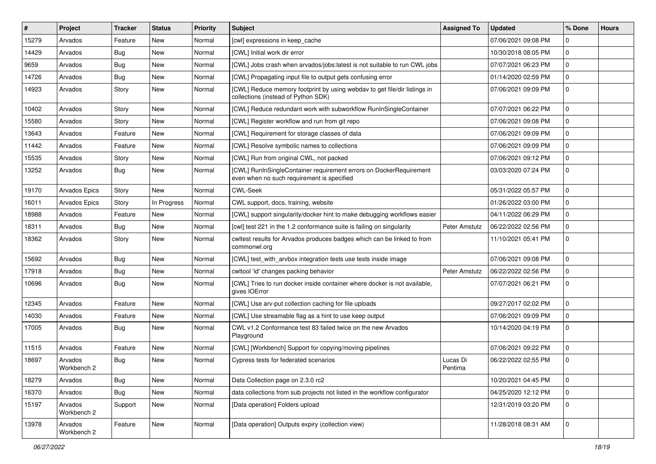| #     | Project                | <b>Tracker</b> | <b>Status</b> | Priority | <b>Subject</b>                                                                                                   | <b>Assigned To</b>   | <b>Updated</b>      | % Done      | <b>Hours</b> |
|-------|------------------------|----------------|---------------|----------|------------------------------------------------------------------------------------------------------------------|----------------------|---------------------|-------------|--------------|
| 15279 | Arvados                | Feature        | New           | Normal   | [cwl] expressions in keep_cache                                                                                  |                      | 07/06/2021 09:08 PM | $\Omega$    |              |
| 14429 | Arvados                | <b>Bug</b>     | New           | Normal   | [CWL] Initial work dir error                                                                                     |                      | 10/30/2018 08:05 PM | $\mathbf 0$ |              |
| 9659  | Arvados                | <b>Bug</b>     | New           | Normal   | [CWL] Jobs crash when arvados/jobs:latest is not suitable to run CWL jobs                                        |                      | 07/07/2021 06:23 PM | $\Omega$    |              |
| 14726 | Arvados                | <b>Bug</b>     | New           | Normal   | [CWL] Propagating input file to output gets confusing error                                                      |                      | 01/14/2020 02:59 PM | $\Omega$    |              |
| 14923 | Arvados                | Story          | New           | Normal   | [CWL] Reduce memory footprint by using webdav to get file/dir listings in<br>collections (instead of Python SDK) |                      | 07/06/2021 09:09 PM | $\mathbf 0$ |              |
| 10402 | Arvados                | Story          | <b>New</b>    | Normal   | [CWL] Reduce redundant work with subworkflow RunInSingleContainer                                                |                      | 07/07/2021 06:22 PM | $\Omega$    |              |
| 15580 | Arvados                | Story          | New           | Normal   | [CWL] Register workflow and run from git repo                                                                    |                      | 07/06/2021 09:08 PM | $\mathbf 0$ |              |
| 13643 | Arvados                | Feature        | New           | Normal   | [CWL] Requirement for storage classes of data                                                                    |                      | 07/06/2021 09:09 PM | $\Omega$    |              |
| 11442 | Arvados                | Feature        | New           | Normal   | [CWL] Resolve symbolic names to collections                                                                      |                      | 07/06/2021 09:09 PM | $\mathbf 0$ |              |
| 15535 | Arvados                | Story          | New           | Normal   | [CWL] Run from original CWL, not packed                                                                          |                      | 07/06/2021 09:12 PM | $\Omega$    |              |
| 13252 | Arvados                | Bug            | New           | Normal   | [CWL] RunInSingleContainer requirement errors on DockerRequirement<br>even when no such requirement is specified |                      | 03/03/2020 07:24 PM | $\Omega$    |              |
| 19170 | <b>Arvados Epics</b>   | Story          | New           | Normal   | <b>CWL-Seek</b>                                                                                                  |                      | 05/31/2022 05:57 PM | $\Omega$    |              |
| 16011 | <b>Arvados Epics</b>   | Story          | In Progress   | Normal   | CWL support, docs, training, website                                                                             |                      | 01/26/2022 03:00 PM | $\Omega$    |              |
| 18988 | Arvados                | Feature        | New           | Normal   | [CWL] support singularity/docker hint to make debugging workflows easier                                         |                      | 04/11/2022 06:29 PM | $\Omega$    |              |
| 18311 | Arvados                | <b>Bug</b>     | New           | Normal   | [cwl] test 221 in the 1.2 conformance suite is failing on singularity                                            | Peter Amstutz        | 06/22/2022 02:56 PM | $\Omega$    |              |
| 18362 | Arvados                | Story          | New           | Normal   | cwltest results for Arvados produces badges which can be linked to from<br>commonwl.org                          |                      | 11/10/2021 05:41 PM | $\mathbf 0$ |              |
| 15692 | Arvados                | Bug            | New           | Normal   | [CWL] test_with_arvbox integration tests use tests inside image                                                  |                      | 07/06/2021 09:08 PM | $\Omega$    |              |
| 17918 | Arvados                | Bug            | New           | Normal   | cwltool 'id' changes packing behavior                                                                            | <b>Peter Amstutz</b> | 06/22/2022 02:56 PM | 0           |              |
| 10696 | Arvados                | <b>Bug</b>     | New           | Normal   | [CWL] Tries to run docker inside container where docker is not available,<br>gives IOError                       |                      | 07/07/2021 06:21 PM | $\Omega$    |              |
| 12345 | Arvados                | Feature        | New           | Normal   | [CWL] Use arv-put collection caching for file uploads                                                            |                      | 09/27/2017 02:02 PM | $\mathbf 0$ |              |
| 14030 | Arvados                | Feature        | New           | Normal   | [CWL] Use streamable flag as a hint to use keep output                                                           |                      | 07/06/2021 09:09 PM | $\Omega$    |              |
| 17005 | Arvados                | Bug            | New           | Normal   | CWL v1.2 Conformance test 83 failed twice on the new Arvados<br>Playground                                       |                      | 10/14/2020 04:19 PM | $\mathbf 0$ |              |
| 11515 | Arvados                | Feature        | New           | Normal   | [CWL] [Workbench] Support for copying/moving pipelines                                                           |                      | 07/06/2021 09:22 PM | $\Omega$    |              |
| 18697 | Arvados<br>Workbench 2 | Bug            | New           | Normal   | Cypress tests for federated scenarios                                                                            | Lucas Di<br>Pentima  | 06/22/2022 02:55 PM | $\mathbf 0$ |              |
| 18279 | Arvados                | Bug            | New           | Normal   | Data Collection page on 2.3.0 rc2                                                                                |                      | 10/20/2021 04:45 PM | 0           |              |
| 16370 | Arvados                | Bug            | New           | Normal   | data collections from sub projects not listed in the workflow configurator                                       |                      | 04/25/2020 12:12 PM | 0           |              |
| 15197 | Arvados<br>Workbench 2 | Support        | New           | Normal   | [Data operation] Folders upload                                                                                  |                      | 12/31/2019 03:20 PM | 0           |              |
| 13978 | Arvados<br>Workbench 2 | Feature        | New           | Normal   | [Data operation] Outputs expiry (collection view)                                                                |                      | 11/28/2018 08:31 AM | 0           |              |